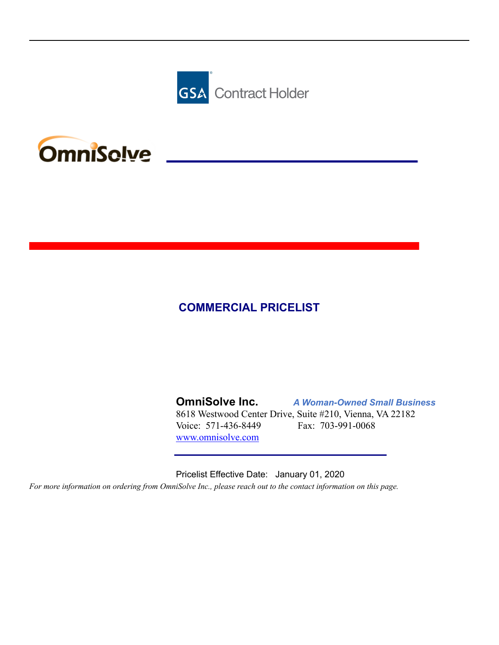



#### **COMMERCIAL PRICELIST**

**OmniSolve Inc.** *A Woman-Owned Small Business* 8618 Westwood Center Drive, Suite #210, Vienna, VA 22182 Voice: 571-436-8449 Fax: 703-991-0068 [www.omnisolve.com](http://www.omnisolve.com)

Pricelist Effective Date: January 01, 2020 For more information on ordering from OmniSolve Inc., please reach out to the contact information on this page.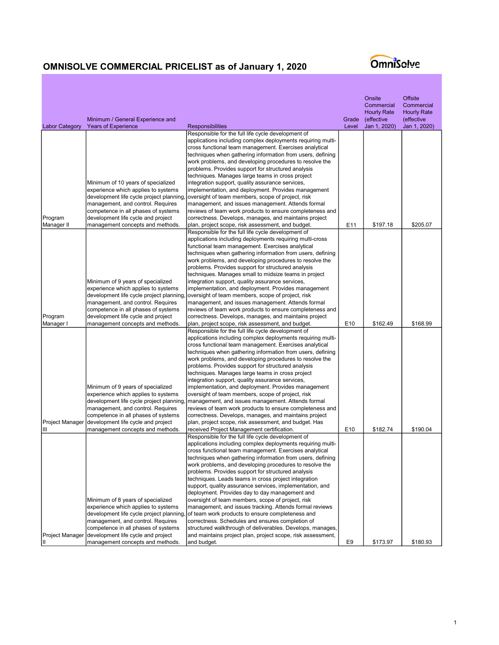|                        |                                                                               |                                                                                                                           |                 | Onsite<br>Commercial<br><b>Hourly Rate</b> | <b>Offsite</b><br>Commercial<br><b>Hourly Rate</b> |
|------------------------|-------------------------------------------------------------------------------|---------------------------------------------------------------------------------------------------------------------------|-----------------|--------------------------------------------|----------------------------------------------------|
|                        | Minimum / General Experience and                                              |                                                                                                                           | Grade           | (effective                                 | (effective                                         |
| <b>Labor Category</b>  | <b>Years of Experience</b>                                                    | <b>Responsibilities</b>                                                                                                   | Level           | Jan 1, 2020)                               | Jan 1, 2020)                                       |
|                        |                                                                               | Responsible for the full life cycle development of                                                                        |                 |                                            |                                                    |
|                        |                                                                               | applications including complex deployments requiring multi-<br>cross functional team management. Exercises analytical     |                 |                                            |                                                    |
|                        |                                                                               | techniques when gathering information from users, defining                                                                |                 |                                            |                                                    |
|                        |                                                                               | work problems, and developing procedures to resolve the                                                                   |                 |                                            |                                                    |
|                        |                                                                               | problems. Provides support for structured analysis                                                                        |                 |                                            |                                                    |
|                        |                                                                               | techniques. Manages large teams in cross project                                                                          |                 |                                            |                                                    |
|                        | Minimum of 10 years of specialized<br>experience which applies to systems     | integration support, quality assurance services,<br>implementation, and deployment. Provides management                   |                 |                                            |                                                    |
|                        | development life cycle project planning,                                      | oversight of team members, scope of project, risk                                                                         |                 |                                            |                                                    |
|                        | management, and control. Requires                                             | management, and issues management. Attends formal                                                                         |                 |                                            |                                                    |
|                        | competence in all phases of systems                                           | reviews of team work products to ensure completeness and                                                                  |                 |                                            |                                                    |
| Program                | development life cycle and project                                            | correctness. Develops, manages, and maintains project                                                                     |                 |                                            |                                                    |
| Manager II             | management concepts and methods.                                              | plan, project scope, risk assessment, and budget.<br>Responsible for the full life cycle development of                   | E <sub>11</sub> | \$197.18                                   | \$205.07                                           |
|                        |                                                                               | applications including deployments requiring multi-cross                                                                  |                 |                                            |                                                    |
|                        |                                                                               | functional team management. Exercises analytical                                                                          |                 |                                            |                                                    |
|                        |                                                                               | techniques when gathering information from users, defining                                                                |                 |                                            |                                                    |
|                        |                                                                               | work problems, and developing procedures to resolve the                                                                   |                 |                                            |                                                    |
|                        |                                                                               | problems. Provides support for structured analysis<br>techniques. Manages small to midsize teams in project               |                 |                                            |                                                    |
|                        | Minimum of 9 years of specialized                                             | integration support, quality assurance services,                                                                          |                 |                                            |                                                    |
|                        | experience which applies to systems                                           | implementation, and deployment. Provides management                                                                       |                 |                                            |                                                    |
|                        | development life cycle project planning,                                      | oversight of team members, scope of project, risk                                                                         |                 |                                            |                                                    |
|                        | management, and control. Requires                                             | management, and issues management. Attends formal                                                                         |                 |                                            |                                                    |
|                        | competence in all phases of systems                                           | reviews of team work products to ensure completeness and                                                                  |                 |                                            |                                                    |
| Program<br>Manager I   | development life cycle and project<br>management concepts and methods.        | correctness. Develops, manages, and maintains project<br>plan, project scope, risk assessment, and budget.                | E <sub>10</sub> | \$162.49                                   | \$168.99                                           |
|                        |                                                                               | Responsible for the full life cycle development of                                                                        |                 |                                            |                                                    |
|                        |                                                                               | applications including complex deployments requiring multi-                                                               |                 |                                            |                                                    |
|                        |                                                                               | cross functional team management. Exercises analytical                                                                    |                 |                                            |                                                    |
|                        |                                                                               | techniques when gathering information from users, defining                                                                |                 |                                            |                                                    |
|                        |                                                                               | work problems, and developing procedures to resolve the<br>problems. Provides support for structured analysis             |                 |                                            |                                                    |
|                        |                                                                               | techniques. Manages large teams in cross project                                                                          |                 |                                            |                                                    |
|                        |                                                                               | integration support, quality assurance services,                                                                          |                 |                                            |                                                    |
|                        | Minimum of 9 years of specialized                                             | implementation, and deployment. Provides management                                                                       |                 |                                            |                                                    |
|                        | experience which applies to systems                                           | oversight of team members, scope of project, risk                                                                         |                 |                                            |                                                    |
|                        | development life cycle project planning,<br>management, and control. Requires | management, and issues management. Attends formal<br>reviews of team work products to ensure completeness and             |                 |                                            |                                                    |
|                        | competence in all phases of systems                                           | correctness. Develops, manages, and maintains project                                                                     |                 |                                            |                                                    |
| Project Manager        | development life cycle and project                                            | plan, project scope, risk assessment, and budget. Has                                                                     |                 |                                            |                                                    |
| Ш                      | management concepts and methods.                                              | received Project Management certification.                                                                                | E <sub>10</sub> | \$182.74                                   | \$190.04                                           |
|                        |                                                                               | Responsible for the full life cycle development of                                                                        |                 |                                            |                                                    |
|                        |                                                                               | applications including complex deployments requiring multi-<br>cross functional team management. Exercises analytical     |                 |                                            |                                                    |
|                        |                                                                               | techniques when gathering information from users, defining                                                                |                 |                                            |                                                    |
|                        |                                                                               | work problems, and developing procedures to resolve the                                                                   |                 |                                            |                                                    |
|                        |                                                                               | problems. Provides support for structured analysis                                                                        |                 |                                            |                                                    |
|                        |                                                                               | techniques. Leads teams in cross project integration                                                                      |                 |                                            |                                                    |
|                        |                                                                               | support, quality assurance services, implementation, and<br>deployment. Provides day to day management and                |                 |                                            |                                                    |
|                        | Minimum of 8 years of specialized                                             | oversight of team members, scope of project, risk                                                                         |                 |                                            |                                                    |
|                        | experience which applies to systems                                           | management, and issues tracking. Attends formal reviews                                                                   |                 |                                            |                                                    |
|                        | development life cycle project planning,                                      | of team work products to ensure completeness and                                                                          |                 |                                            |                                                    |
|                        | management, and control. Requires                                             | correctness. Schedules and ensures completion of                                                                          |                 |                                            |                                                    |
| <b>Project Manager</b> | competence in all phases of systems<br>development life cycle and project     | structured walkthrough of deliverables. Develops, manages,<br>and maintains project plan, project scope, risk assessment, |                 |                                            |                                                    |
| Ш                      | management concepts and methods.                                              | and budget.                                                                                                               | E9              | \$173.97                                   | \$180.93                                           |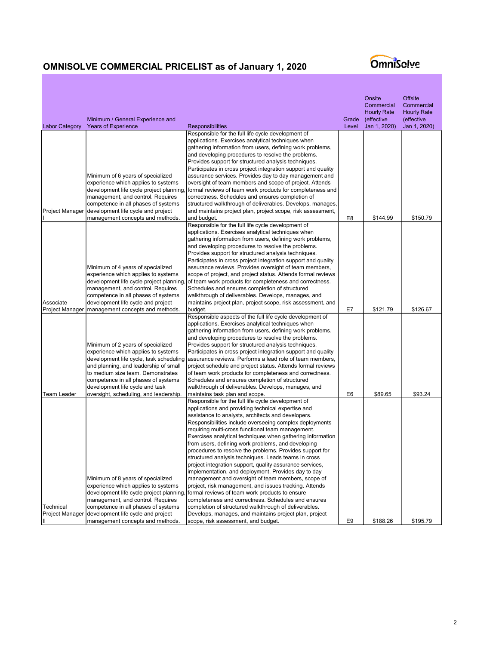|                                     | Minimum / General Experience and                                                                                                                                                                                                                                                                               |                                                                                                                                                                                                                                                                                                                                                                                                                                                                                                                                                                                                                                                                                                                                                                                                                                                                                                                                 | Grade          | Onsite<br>Commercial<br><b>Hourly Rate</b><br>(effective | <b>Offsite</b><br>Commercial<br><b>Hourly Rate</b><br>(effective |
|-------------------------------------|----------------------------------------------------------------------------------------------------------------------------------------------------------------------------------------------------------------------------------------------------------------------------------------------------------------|---------------------------------------------------------------------------------------------------------------------------------------------------------------------------------------------------------------------------------------------------------------------------------------------------------------------------------------------------------------------------------------------------------------------------------------------------------------------------------------------------------------------------------------------------------------------------------------------------------------------------------------------------------------------------------------------------------------------------------------------------------------------------------------------------------------------------------------------------------------------------------------------------------------------------------|----------------|----------------------------------------------------------|------------------------------------------------------------------|
| <b>Labor Category</b>               | <b>Years of Experience</b>                                                                                                                                                                                                                                                                                     | Responsibilities                                                                                                                                                                                                                                                                                                                                                                                                                                                                                                                                                                                                                                                                                                                                                                                                                                                                                                                | Level          | Jan 1, 2020)                                             | Jan 1, 2020)                                                     |
|                                     | Minimum of 6 years of specialized<br>experience which applies to systems<br>development life cycle project planning,<br>management, and control. Requires<br>competence in all phases of systems                                                                                                               | Responsible for the full life cycle development of<br>applications. Exercises analytical techniques when<br>gathering information from users, defining work problems,<br>and developing procedures to resolve the problems.<br>Provides support for structured analysis techniques.<br>Participates in cross project integration support and quality<br>assurance services. Provides day to day management and<br>oversight of team members and scope of project. Attends<br>formal reviews of team work products for completeness and<br>correctness. Schedules and ensures completion of<br>structured walkthrough of deliverables. Develops, manages,                                                                                                                                                                                                                                                                        |                |                                                          |                                                                  |
| Project Manager                     | development life cycle and project                                                                                                                                                                                                                                                                             | and maintains project plan, project scope, risk assessment,<br>and budget.                                                                                                                                                                                                                                                                                                                                                                                                                                                                                                                                                                                                                                                                                                                                                                                                                                                      | E <sub>8</sub> | \$144.99                                                 | \$150.79                                                         |
| Associate<br><b>Project Manager</b> | management concepts and methods.<br>Minimum of 4 years of specialized<br>experience which applies to systems<br>development life cycle project planning,<br>management, and control. Requires<br>competence in all phases of systems<br>development life cycle and project<br>management concepts and methods. | Responsible for the full life cycle development of<br>applications. Exercises analytical techniques when<br>gathering information from users, defining work problems,<br>and developing procedures to resolve the problems.<br>Provides support for structured analysis techniques.<br>Participates in cross project integration support and quality<br>assurance reviews. Provides oversight of team members,<br>scope of project, and project status. Attends formal reviews<br>of team work products for completeness and correctness.<br>Schedules and ensures completion of structured<br>walkthrough of deliverables. Develops, manages, and<br>maintains project plan, project scope, risk assessment, and<br>budget.                                                                                                                                                                                                    | E7             | \$121.79                                                 | \$126.67                                                         |
|                                     |                                                                                                                                                                                                                                                                                                                | Responsible aspects of the full life cycle development of                                                                                                                                                                                                                                                                                                                                                                                                                                                                                                                                                                                                                                                                                                                                                                                                                                                                       |                |                                                          |                                                                  |
|                                     | Minimum of 2 years of specialized<br>experience which applies to systems<br>development life cycle, task scheduling<br>and planning, and leadership of small<br>to medium size team. Demonstrates<br>competence in all phases of systems<br>development life cycle and task                                    | applications. Exercises analytical techniques when<br>gathering information from users, defining work problems,<br>and developing procedures to resolve the problems.<br>Provides support for structured analysis techniques.<br>Participates in cross project integration support and quality<br>assurance reviews. Performs a lead role of team members,<br>project schedule and project status. Attends formal reviews<br>of team work products for completeness and correctness.<br>Schedules and ensures completion of structured<br>walkthrough of deliverables. Develops, manages, and                                                                                                                                                                                                                                                                                                                                   |                |                                                          |                                                                  |
| Team Leader                         | oversight, scheduling, and leadership.                                                                                                                                                                                                                                                                         | maintains task plan and scope.<br>Responsible for the full life cycle development of                                                                                                                                                                                                                                                                                                                                                                                                                                                                                                                                                                                                                                                                                                                                                                                                                                            | E <sub>6</sub> | \$89.65                                                  | \$93.24                                                          |
| Technical<br>Project Manager        | Minimum of 8 years of specialized<br>experience which applies to systems<br>development life cycle project planning,<br>management, and control. Requires<br>competence in all phases of systems<br>development life cycle and project                                                                         | applications and providing technical expertise and<br>assistance to analysts, architects and developers.<br>Responsibilities include overseeing complex deployments<br>requiring multi-cross functional team management.<br>Exercises analytical techniques when gathering information<br>from users, defining work problems, and developing<br>procedures to resolve the problems. Provides support for<br>structured analysis techniques. Leads teams in cross<br>project integration support, quality assurance services,<br>implementation, and deployment. Provides day to day<br>management and oversight of team members, scope of<br>project, risk management, and issues tracking. Attends<br>formal reviews of team work products to ensure<br>completeness and correctness. Schedules and ensures<br>completion of structured walkthrough of deliverables.<br>Develops, manages, and maintains project plan, project |                |                                                          |                                                                  |
| וון                                 | management concepts and methods.                                                                                                                                                                                                                                                                               | scope, risk assessment, and budget.                                                                                                                                                                                                                                                                                                                                                                                                                                                                                                                                                                                                                                                                                                                                                                                                                                                                                             | E9             | \$188.26                                                 | \$195.79                                                         |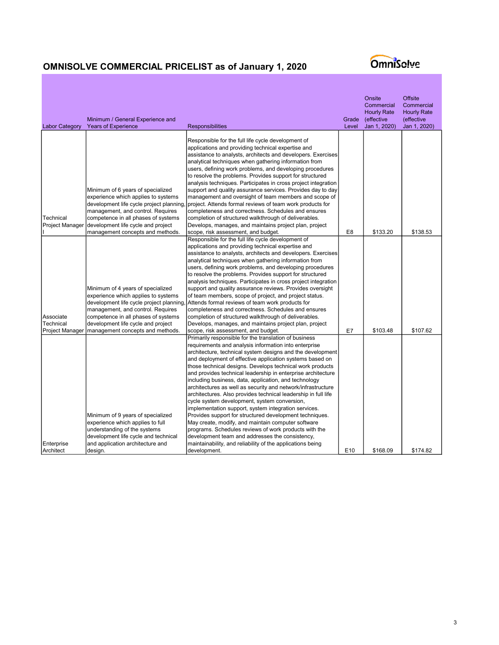| <b>Labor Category</b>                            | Minimum / General Experience and<br><b>Years of Experience</b>                                                                                                                                   | <b>Responsibilities</b>                                                                                                                                                                                                                                                                                                                                                                                                                                                                                                                                                                                                                                                                                                                                                                                                                                                                                                                                             | Grade<br>Level  | Onsite<br>Commercial<br><b>Hourly Rate</b><br>(effective<br>Jan 1, 2020) | <b>Offsite</b><br>Commercial<br><b>Hourly Rate</b><br>(effective<br>Jan 1, 2020) |
|--------------------------------------------------|--------------------------------------------------------------------------------------------------------------------------------------------------------------------------------------------------|---------------------------------------------------------------------------------------------------------------------------------------------------------------------------------------------------------------------------------------------------------------------------------------------------------------------------------------------------------------------------------------------------------------------------------------------------------------------------------------------------------------------------------------------------------------------------------------------------------------------------------------------------------------------------------------------------------------------------------------------------------------------------------------------------------------------------------------------------------------------------------------------------------------------------------------------------------------------|-----------------|--------------------------------------------------------------------------|----------------------------------------------------------------------------------|
| Technical                                        | Minimum of 6 years of specialized<br>experience which applies to systems<br>development life cycle project planning,<br>management, and control. Requires<br>competence in all phases of systems | Responsible for the full life cycle development of<br>applications and providing technical expertise and<br>assistance to analysts, architects and developers. Exercises<br>analytical techniques when gathering information from<br>users, defining work problems, and developing procedures<br>to resolve the problems. Provides support for structured<br>analysis techniques. Participates in cross project integration<br>support and quality assurance services. Provides day to day<br>management and oversight of team members and scope of<br>project. Attends formal reviews of team work products for<br>completeness and correctness. Schedules and ensures<br>completion of structured walkthrough of deliverables.                                                                                                                                                                                                                                    |                 |                                                                          |                                                                                  |
| <b>Project Manager</b>                           | development life cycle and project<br>management concepts and methods.                                                                                                                           | Develops, manages, and maintains project plan, project<br>scope, risk assessment, and budget.                                                                                                                                                                                                                                                                                                                                                                                                                                                                                                                                                                                                                                                                                                                                                                                                                                                                       | E <sub>8</sub>  | \$133.20                                                                 | \$138.53                                                                         |
|                                                  | Minimum of 4 years of specialized<br>experience which applies to systems<br>development life cycle project planning,                                                                             | Responsible for the full life cycle development of<br>applications and providing technical expertise and<br>assistance to analysts, architects and developers. Exercises<br>analytical techniques when gathering information from<br>users, defining work problems, and developing procedures<br>to resolve the problems. Provides support for structured<br>analysis techniques. Participates in cross project integration<br>support and quality assurance reviews. Provides oversight<br>of team members, scope of project, and project status.<br>Attends formal reviews of team work products for                                                                                                                                                                                                                                                                                                                                                              |                 |                                                                          |                                                                                  |
|                                                  | management, and control. Requires                                                                                                                                                                | completeness and correctness. Schedules and ensures                                                                                                                                                                                                                                                                                                                                                                                                                                                                                                                                                                                                                                                                                                                                                                                                                                                                                                                 |                 |                                                                          |                                                                                  |
| Associate<br>Technical<br><b>Project Manager</b> | competence in all phases of systems<br>development life cycle and project<br>management concepts and methods.                                                                                    | completion of structured walkthrough of deliverables.<br>Develops, manages, and maintains project plan, project<br>scope, risk assessment, and budget.                                                                                                                                                                                                                                                                                                                                                                                                                                                                                                                                                                                                                                                                                                                                                                                                              | E7              | \$103.48                                                                 | \$107.62                                                                         |
| Enterprise                                       | Minimum of 9 years of specialized<br>experience which applies to full<br>understanding of the systems<br>development life cycle and technical<br>and application architecture and                | Primarily responsible for the translation of business<br>requirements and analysis information into enterprise<br>architecture, technical system designs and the development<br>and deployment of effective application systems based on<br>those technical designs. Develops technical work products<br>and provides technical leadership in enterprise architecture<br>including business, data, application, and technology<br>architectures as well as security and network/infrastructure<br>architectures. Also provides technical leadership in full life<br>cycle system development, system conversion,<br>implementation support, system integration services.<br>Provides support for structured development techniques.<br>May create, modify, and maintain computer software<br>programs. Schedules reviews of work products with the<br>development team and addresses the consistency,<br>maintainability, and reliability of the applications being |                 |                                                                          |                                                                                  |
| Architect                                        | design.                                                                                                                                                                                          | development.                                                                                                                                                                                                                                                                                                                                                                                                                                                                                                                                                                                                                                                                                                                                                                                                                                                                                                                                                        | E <sub>10</sub> | \$168.09                                                                 | \$174.82                                                                         |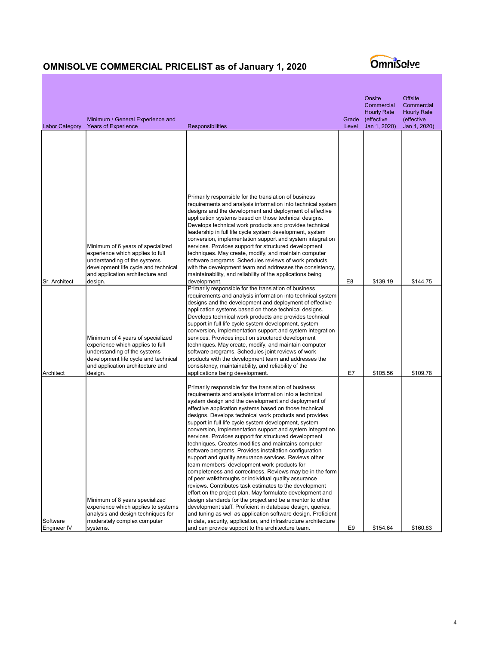

| <b>Labor Category</b>   | Minimum / General Experience and<br><b>Years of Experience</b>                                                                                                                                                                                                        | Responsibilities                                                                                                                                                                                                                                                                                                                                                                                                                                                                                                                                                                                                                                                                                                                                                                                                                                                                                                                                                                                                                                                                                                                                                                                                                                                                              | Grade<br>Level | Onsite<br>Commercial<br><b>Hourly Rate</b><br>(effective<br>Jan 1, 2020) | Offsite<br>Commercial<br><b>Hourly Rate</b><br>(effective<br>Jan 1, 2020) |
|-------------------------|-----------------------------------------------------------------------------------------------------------------------------------------------------------------------------------------------------------------------------------------------------------------------|-----------------------------------------------------------------------------------------------------------------------------------------------------------------------------------------------------------------------------------------------------------------------------------------------------------------------------------------------------------------------------------------------------------------------------------------------------------------------------------------------------------------------------------------------------------------------------------------------------------------------------------------------------------------------------------------------------------------------------------------------------------------------------------------------------------------------------------------------------------------------------------------------------------------------------------------------------------------------------------------------------------------------------------------------------------------------------------------------------------------------------------------------------------------------------------------------------------------------------------------------------------------------------------------------|----------------|--------------------------------------------------------------------------|---------------------------------------------------------------------------|
| Sr. Architect           | Minimum of 6 years of specialized<br>experience which applies to full<br>understanding of the systems<br>development life cycle and technical<br>and application architecture and<br>design.<br>Minimum of 4 years of specialized<br>experience which applies to full | Primarily responsible for the translation of business<br>requirements and analysis information into technical system<br>designs and the development and deployment of effective<br>application systems based on those technical designs.<br>Develops technical work products and provides technical<br>leadership in full life cycle system development, system<br>conversion, implementation support and system integration<br>services. Provides support for structured development<br>techniques. May create, modify, and maintain computer<br>software programs. Schedules reviews of work products<br>with the development team and addresses the consistency,<br>maintainability, and reliability of the applications being<br>development.<br>Primarily responsible for the translation of business<br>requirements and analysis information into technical system<br>designs and the development and deployment of effective<br>application systems based on those technical designs.<br>Develops technical work products and provides technical<br>support in full life cycle system development, system<br>conversion, implementation support and system integration<br>services. Provides input on structured development<br>techniques. May create, modify, and maintain computer | E8             | \$139.19                                                                 | \$144.75                                                                  |
| Architect               | understanding of the systems<br>development life cycle and technical<br>and application architecture and<br>design.                                                                                                                                                   | software programs. Schedules joint reviews of work<br>products with the development team and addresses the<br>consistency, maintainability, and reliability of the<br>applications being development.                                                                                                                                                                                                                                                                                                                                                                                                                                                                                                                                                                                                                                                                                                                                                                                                                                                                                                                                                                                                                                                                                         | E7             | \$105.56                                                                 | \$109.78                                                                  |
| Software<br>Engineer IV | Minimum of 8 years specialized<br>experience which applies to systems<br>analysis and design techniques for<br>moderately complex computer<br>systems.                                                                                                                | Primarily responsible for the translation of business<br>requirements and analysis information into a technical<br>system design and the development and deployment of<br>effective application systems based on those technical<br>designs. Develops technical work products and provides<br>support in full life cycle system development, system<br>conversion, implementation support and system integration<br>services. Provides support for structured development<br>techniques. Creates modifies and maintains computer<br>software programs. Provides installation configuration<br>support and quality assurance services. Reviews other<br>team members' development work products for<br>completeness and correctness. Reviews may be in the form<br>of peer walkthroughs or individual quality assurance<br>reviews. Contributes task estimates to the development<br>effort on the project plan. May formulate development and<br>design standards for the project and be a mentor to other<br>development staff. Proficient in database design, queries,<br>and tuning as well as application software design. Proficient<br>in data, security, application, and infrastructure architecture<br>and can provide support to the architecture team.                             | E <sub>9</sub> | \$154.64                                                                 | \$160.83                                                                  |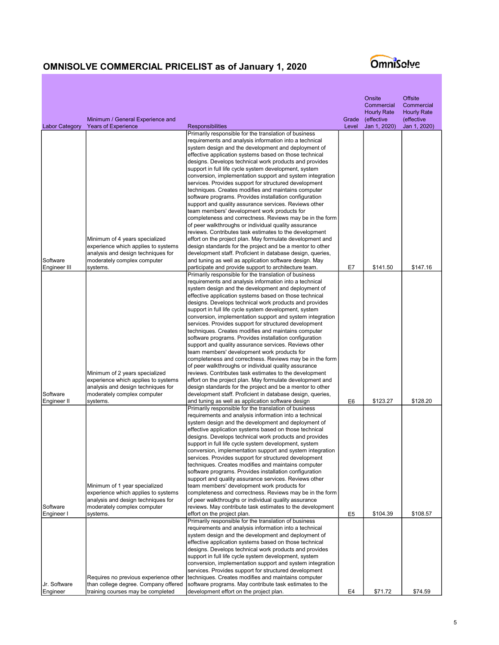|                         | Minimum / General Experience and                                      |                                                                                                                        | Grade | Onsite<br>Commercial<br><b>Hourly Rate</b><br>(effective | <b>Offsite</b><br>Commercial<br><b>Hourly Rate</b><br>(effective |
|-------------------------|-----------------------------------------------------------------------|------------------------------------------------------------------------------------------------------------------------|-------|----------------------------------------------------------|------------------------------------------------------------------|
| <b>Labor Category</b>   | <b>Years of Experience</b>                                            | <b>Responsibilities</b>                                                                                                | Level | Jan 1, 2020)                                             | Jan 1, 2020)                                                     |
|                         |                                                                       | Primarily responsible for the translation of business<br>requirements and analysis information into a technical        |       |                                                          |                                                                  |
|                         |                                                                       | system design and the development and deployment of                                                                    |       |                                                          |                                                                  |
|                         |                                                                       | effective application systems based on those technical<br>designs. Develops technical work products and provides       |       |                                                          |                                                                  |
|                         |                                                                       | support in full life cycle system development, system                                                                  |       |                                                          |                                                                  |
|                         |                                                                       | conversion, implementation support and system integration                                                              |       |                                                          |                                                                  |
|                         |                                                                       | services. Provides support for structured development                                                                  |       |                                                          |                                                                  |
|                         |                                                                       | techniques. Creates modifies and maintains computer                                                                    |       |                                                          |                                                                  |
|                         |                                                                       | software programs. Provides installation configuration<br>support and quality assurance services. Reviews other        |       |                                                          |                                                                  |
|                         |                                                                       | team members' development work products for                                                                            |       |                                                          |                                                                  |
|                         |                                                                       | completeness and correctness. Reviews may be in the form                                                               |       |                                                          |                                                                  |
|                         |                                                                       | of peer walkthroughs or individual quality assurance                                                                   |       |                                                          |                                                                  |
|                         |                                                                       | reviews. Contributes task estimates to the development                                                                 |       |                                                          |                                                                  |
|                         | Minimum of 4 years specialized<br>experience which applies to systems | effort on the project plan. May formulate development and<br>design standards for the project and be a mentor to other |       |                                                          |                                                                  |
|                         | analysis and design techniques for                                    | development staff. Proficient in database design, queries,                                                             |       |                                                          |                                                                  |
| Software                | moderately complex computer                                           | and tuning as well as application software design. May                                                                 |       |                                                          |                                                                  |
| Engineer III            | systems.                                                              | participate and provide support to architecture team.                                                                  | E7    | \$141.50                                                 | \$147.16                                                         |
|                         |                                                                       | Primarily responsible for the translation of business<br>requirements and analysis information into a technical        |       |                                                          |                                                                  |
|                         |                                                                       | system design and the development and deployment of                                                                    |       |                                                          |                                                                  |
|                         |                                                                       | effective application systems based on those technical                                                                 |       |                                                          |                                                                  |
|                         |                                                                       | designs. Develops technical work products and provides                                                                 |       |                                                          |                                                                  |
|                         |                                                                       | support in full life cycle system development, system                                                                  |       |                                                          |                                                                  |
|                         |                                                                       | conversion, implementation support and system integration<br>services. Provides support for structured development     |       |                                                          |                                                                  |
|                         |                                                                       | techniques. Creates modifies and maintains computer                                                                    |       |                                                          |                                                                  |
|                         |                                                                       | software programs. Provides installation configuration                                                                 |       |                                                          |                                                                  |
|                         |                                                                       | support and quality assurance services. Reviews other                                                                  |       |                                                          |                                                                  |
|                         |                                                                       | team members' development work products for                                                                            |       |                                                          |                                                                  |
|                         |                                                                       | completeness and correctness. Reviews may be in the form<br>of peer walkthroughs or individual quality assurance       |       |                                                          |                                                                  |
|                         | Minimum of 2 years specialized                                        | reviews. Contributes task estimates to the development                                                                 |       |                                                          |                                                                  |
|                         | experience which applies to systems                                   | effort on the project plan. May formulate development and                                                              |       |                                                          |                                                                  |
|                         | analysis and design techniques for                                    | design standards for the project and be a mentor to other                                                              |       |                                                          |                                                                  |
| Software<br>Engineer II | moderately complex computer<br>systems.                               | development staff. Proficient in database design, queries,<br>and tuning as well as application software design        | E6    | \$123.27                                                 | \$128.20                                                         |
|                         |                                                                       | Primarily responsible for the translation of business                                                                  |       |                                                          |                                                                  |
|                         |                                                                       | requirements and analysis information into a technical                                                                 |       |                                                          |                                                                  |
|                         |                                                                       | system design and the development and deployment of                                                                    |       |                                                          |                                                                  |
|                         |                                                                       | effective application systems based on those technical                                                                 |       |                                                          |                                                                  |
|                         |                                                                       | designs. Develops technical work products and provides<br>support in full life cycle system development, system        |       |                                                          |                                                                  |
|                         |                                                                       | conversion, implementation support and system integration                                                              |       |                                                          |                                                                  |
|                         |                                                                       | services. Provides support for structured development                                                                  |       |                                                          |                                                                  |
|                         |                                                                       | techniques. Creates modifies and maintains computer                                                                    |       |                                                          |                                                                  |
|                         |                                                                       | software programs. Provides installation configuration<br>support and quality assurance services. Reviews other        |       |                                                          |                                                                  |
|                         | Minimum of 1 year specialized                                         | team members' development work products for                                                                            |       |                                                          |                                                                  |
|                         | experience which applies to systems                                   | completeness and correctness. Reviews may be in the form                                                               |       |                                                          |                                                                  |
|                         | analysis and design techniques for                                    | of peer walkthroughs or individual quality assurance                                                                   |       |                                                          |                                                                  |
| Software                | moderately complex computer                                           | reviews. May contribute task estimates to the development                                                              |       |                                                          |                                                                  |
| Engineer I              | systems.                                                              | effort on the project plan.<br>Primarily responsible for the translation of business                                   | E5    | \$104.39                                                 | \$108.57                                                         |
|                         |                                                                       | requirements and analysis information into a technical                                                                 |       |                                                          |                                                                  |
|                         |                                                                       | system design and the development and deployment of                                                                    |       |                                                          |                                                                  |
|                         |                                                                       | effective application systems based on those technical                                                                 |       |                                                          |                                                                  |
|                         |                                                                       | designs. Develops technical work products and provides<br>support in full life cycle system development, system        |       |                                                          |                                                                  |
|                         |                                                                       | conversion, implementation support and system integration                                                              |       |                                                          |                                                                  |
|                         |                                                                       | services. Provides support for structured development                                                                  |       |                                                          |                                                                  |
|                         | Requires no previous experience other                                 | techniques. Creates modifies and maintains computer                                                                    |       |                                                          |                                                                  |
| Jr. Software            | than college degree. Company offered                                  | software programs. May contribute task estimates to the                                                                |       |                                                          |                                                                  |
| Engineer                | training courses may be completed                                     | development effort on the project plan.                                                                                | E4    | \$71.72                                                  | \$74.59                                                          |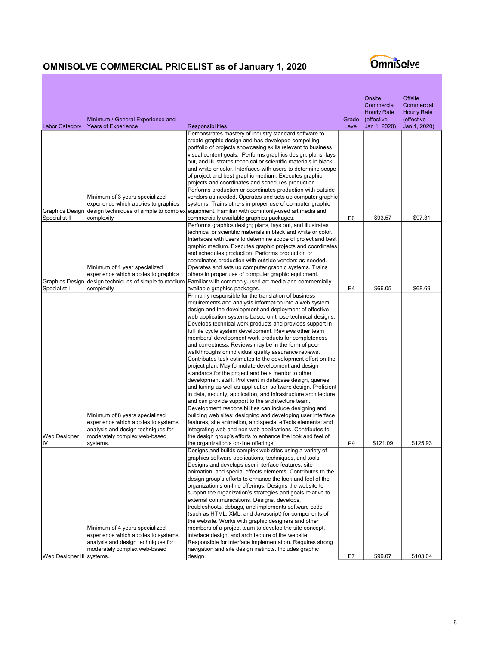|                                         | Minimum / General Experience and                                                                                                                        |                                                                                                                                                                                                                                                                                                                                                                                                                                                                                                                                                                                                                                                                                                                                                                                                                                                                                                                                                                                                                                                                                                                                                                                                                                                                                                                                   | Grade          | Onsite<br>Commercial<br><b>Hourly Rate</b><br>(effective | Offsite<br>Commercial<br><b>Hourly Rate</b><br>(effective |
|-----------------------------------------|---------------------------------------------------------------------------------------------------------------------------------------------------------|-----------------------------------------------------------------------------------------------------------------------------------------------------------------------------------------------------------------------------------------------------------------------------------------------------------------------------------------------------------------------------------------------------------------------------------------------------------------------------------------------------------------------------------------------------------------------------------------------------------------------------------------------------------------------------------------------------------------------------------------------------------------------------------------------------------------------------------------------------------------------------------------------------------------------------------------------------------------------------------------------------------------------------------------------------------------------------------------------------------------------------------------------------------------------------------------------------------------------------------------------------------------------------------------------------------------------------------|----------------|----------------------------------------------------------|-----------------------------------------------------------|
| <b>Labor Category</b>                   | <b>Years of Experience</b>                                                                                                                              | <b>Responsibilities</b>                                                                                                                                                                                                                                                                                                                                                                                                                                                                                                                                                                                                                                                                                                                                                                                                                                                                                                                                                                                                                                                                                                                                                                                                                                                                                                           | Level          | Jan 1, 2020)                                             | Jan 1, 2020)                                              |
|                                         |                                                                                                                                                         | Demonstrates mastery of industry standard software to<br>create graphic design and has developed compelling<br>portfolio of projects showcasing skills relevant to business<br>visual content goals. Performs graphics design; plans, lays<br>out, and illustrates technical or scientific materials in black<br>and white or color. Interfaces with users to determine scope                                                                                                                                                                                                                                                                                                                                                                                                                                                                                                                                                                                                                                                                                                                                                                                                                                                                                                                                                     |                |                                                          |                                                           |
|                                         |                                                                                                                                                         | of project and best graphic medium. Executes graphic<br>projects and coordinates and schedules production.<br>Performs production or coordinates production with outside                                                                                                                                                                                                                                                                                                                                                                                                                                                                                                                                                                                                                                                                                                                                                                                                                                                                                                                                                                                                                                                                                                                                                          |                |                                                          |                                                           |
| <b>Graphics Design</b><br>Specialist II | Minimum of 3 years specialized<br>experience which applies to graphics<br>design techniques of simple to complex<br>complexity                          | vendors as needed. Operates and sets up computer graphic<br>systems. Trains others in proper use of computer graphic<br>equipment. Familiar with commonly-used art media and<br>commercially available graphics packages.                                                                                                                                                                                                                                                                                                                                                                                                                                                                                                                                                                                                                                                                                                                                                                                                                                                                                                                                                                                                                                                                                                         | E6             | \$93.57                                                  | \$97.31                                                   |
|                                         |                                                                                                                                                         | Performs graphics design; plans, lays out, and illustrates<br>technical or scientific materials in black and white or color.<br>Interfaces with users to determine scope of project and best<br>graphic medium. Executes graphic projects and coordinates<br>and schedules production. Performs production or<br>coordinates production with outside vendors as needed.                                                                                                                                                                                                                                                                                                                                                                                                                                                                                                                                                                                                                                                                                                                                                                                                                                                                                                                                                           |                |                                                          |                                                           |
| <b>Graphics Design</b><br>Specialist I  | Minimum of 1 year specialized<br>experience which applies to graphics<br>design techniques of simple to medium<br>complexity                            | Operates and sets up computer graphic systems. Trains<br>others in proper use of computer graphic equipment.<br>Familiar with commonly-used art media and commercially<br>available graphics packages.                                                                                                                                                                                                                                                                                                                                                                                                                                                                                                                                                                                                                                                                                                                                                                                                                                                                                                                                                                                                                                                                                                                            | E4             | \$66.05                                                  | \$68.69                                                   |
| <b>Web Designer</b><br>IV               | Minimum of 8 years specialized<br>experience which applies to systems<br>analysis and design techniques for<br>moderately complex web-based<br>systems. | Primarily responsible for the translation of business<br>requirements and analysis information into a web system<br>design and the development and deployment of effective<br>web application systems based on those technical designs.<br>Develops technical work products and provides support in<br>full life cycle system development. Reviews other team<br>members' development work products for completeness<br>and correctness. Reviews may be in the form of peer<br>walkthroughs or individual quality assurance reviews.<br>Contributes task estimates to the development effort on the<br>project plan. May formulate development and design<br>standards for the project and be a mentor to other<br>development staff. Proficient in database design, queries,<br>and tuning as well as application software design. Proficient<br>in data, security, application, and infrastructure architecture<br>and can provide support to the architecture team.<br>Development responsibilities can include designing and<br>building web sites; designing and developing user interface<br>features, site animation, and special effects elements; and<br>integrating web and non-web applications. Contributes to<br>the design group's efforts to enhance the look and feel of<br>the organization's on-line offerings. | E <sub>9</sub> | \$121.09                                                 | \$125.93                                                  |
|                                         | Minimum of 4 years specialized<br>experience which applies to systems<br>analysis and design techniques for<br>moderately complex web-based             | Designs and builds complex web sites using a variety of<br>graphics software applications, techniques, and tools.<br>Designs and develops user interface features, site<br>animation, and special effects elements. Contributes to the<br>design group's efforts to enhance the look and feel of the<br>organization's on-line offerings. Designs the website to<br>support the organization's strategies and goals relative to<br>external communications. Designs, develops,<br>troubleshoots, debugs, and implements software code<br>(such as HTML, XML, and Javascript) for components of<br>the website. Works with graphic designers and other<br>members of a project team to develop the site concept,<br>interface design, and architecture of the website.<br>Responsible for interface implementation. Requires strong<br>navigation and site design instincts. Includes graphic                                                                                                                                                                                                                                                                                                                                                                                                                                      |                |                                                          |                                                           |
| ∣Web Designer III∣systems.              |                                                                                                                                                         | design.                                                                                                                                                                                                                                                                                                                                                                                                                                                                                                                                                                                                                                                                                                                                                                                                                                                                                                                                                                                                                                                                                                                                                                                                                                                                                                                           | E7             | \$99.07                                                  | \$103.04                                                  |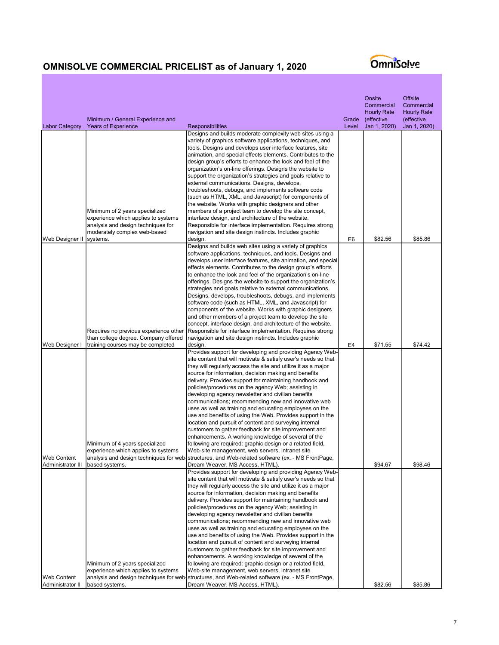|                                                    | Minimum / General Experience and                                                                                                            |                                                                                                                                                                                                                                                                                                                                                                                                                                                                                                                                                                                                                                                                                                                                                                                                                                                                                                                                                                                                                                                | Grade | Onsite<br>Commercial<br><b>Hourly Rate</b><br>(effective | <b>Offsite</b><br>Commercial<br><b>Hourly Rate</b><br>(effective |
|----------------------------------------------------|---------------------------------------------------------------------------------------------------------------------------------------------|------------------------------------------------------------------------------------------------------------------------------------------------------------------------------------------------------------------------------------------------------------------------------------------------------------------------------------------------------------------------------------------------------------------------------------------------------------------------------------------------------------------------------------------------------------------------------------------------------------------------------------------------------------------------------------------------------------------------------------------------------------------------------------------------------------------------------------------------------------------------------------------------------------------------------------------------------------------------------------------------------------------------------------------------|-------|----------------------------------------------------------|------------------------------------------------------------------|
| <b>Labor Category</b>                              | <b>Years of Experience</b>                                                                                                                  | Responsibilities                                                                                                                                                                                                                                                                                                                                                                                                                                                                                                                                                                                                                                                                                                                                                                                                                                                                                                                                                                                                                               | Level | Jan 1, 2020)                                             | Jan 1, 2020)                                                     |
|                                                    |                                                                                                                                             | Designs and builds moderate complexity web sites using a<br>variety of graphics software applications, techniques, and<br>tools. Designs and develops user interface features, site<br>animation, and special effects elements. Contributes to the<br>design group's efforts to enhance the look and feel of the<br>organization's on-line offerings. Designs the website to<br>support the organization's strategies and goals relative to                                                                                                                                                                                                                                                                                                                                                                                                                                                                                                                                                                                                    |       |                                                          |                                                                  |
|                                                    | Minimum of 2 years specialized<br>experience which applies to systems<br>analysis and design techniques for<br>moderately complex web-based | external communications. Designs, develops,<br>troubleshoots, debugs, and implements software code<br>(such as HTML, XML, and Javascript) for components of<br>the website. Works with graphic designers and other<br>members of a project team to develop the site concept,<br>interface design, and architecture of the website.<br>Responsible for interface implementation. Requires strong<br>navigation and site design instincts. Includes graphic                                                                                                                                                                                                                                                                                                                                                                                                                                                                                                                                                                                      |       |                                                          |                                                                  |
| Web Designer II                                    | systems.                                                                                                                                    | design.<br>Designs and builds web sites using a variety of graphics<br>software applications, techniques, and tools. Designs and<br>develops user interface features, site animation, and special<br>effects elements. Contributes to the design group's efforts<br>to enhance the look and feel of the organization's on-line<br>offerings. Designs the website to support the organization's<br>strategies and goals relative to external communications.<br>Designs, develops, troubleshoots, debugs, and implements<br>software code (such as HTML, XML, and Javascript) for<br>components of the website. Works with graphic designers<br>and other members of a project team to develop the site<br>concept, interface design, and architecture of the website.                                                                                                                                                                                                                                                                          | E6    | \$82.56                                                  | \$85.86                                                          |
|                                                    | Requires no previous experience other<br>than college degree. Company offered                                                               | Responsible for interface implementation. Requires strong<br>navigation and site design instincts. Includes graphic                                                                                                                                                                                                                                                                                                                                                                                                                                                                                                                                                                                                                                                                                                                                                                                                                                                                                                                            |       |                                                          |                                                                  |
| Web Designer I                                     | training courses may be completed                                                                                                           | design.                                                                                                                                                                                                                                                                                                                                                                                                                                                                                                                                                                                                                                                                                                                                                                                                                                                                                                                                                                                                                                        | E4    | \$71.55                                                  | \$74.42                                                          |
| IWeb Content<br>Administrator III   based systems. | Minimum of 4 years specialized<br>experience which applies to systems                                                                       | Provides support for developing and providing Agency Web-<br>site content that will motivate & satisfy user's needs so that<br>they will regularly access the site and utilize it as a major<br>source for information, decision making and benefits<br>delivery. Provides support for maintaining handbook and<br>policies/procedures on the agency Web; assisting in<br>developing agency newsletter and civilian benefits<br>communications; recommending new and innovative web<br>uses as well as training and educating employees on the<br>use and benefits of using the Web. Provides support in the<br>location and pursuit of content and surveying internal<br>customers to gather feedback for site improvement and<br>enhancements. A working knowledge of several of the<br>following are required: graphic design or a related field,<br>Web-site management, web servers, intranet site<br>analysis and design techniques for web-structures, and Web-related software (ex. - MS FrontPage,<br>Dream Weaver, MS Access, HTML). |       | \$94.67                                                  | \$98.46                                                          |
| <b>Web Content</b><br>Administrator II             | Minimum of 2 years specialized<br>experience which applies to systems<br>based systems.                                                     | Provides support for developing and providing Agency Web-<br>site content that will motivate & satisfy user's needs so that<br>they will regularly access the site and utilize it as a major<br>source for information, decision making and benefits<br>delivery. Provides support for maintaining handbook and<br>policies/procedures on the agency Web; assisting in<br>developing agency newsletter and civilian benefits<br>communications; recommending new and innovative web<br>uses as well as training and educating employees on the<br>use and benefits of using the Web. Provides support in the<br>location and pursuit of content and surveying internal<br>customers to gather feedback for site improvement and<br>enhancements. A working knowledge of several of the<br>following are required: graphic design or a related field,<br>Web-site management, web servers, intranet site<br>analysis and design techniques for web structures, and Web-related software (ex. - MS FrontPage,<br>Dream Weaver, MS Access, HTML). |       | \$82.56                                                  | \$85.86                                                          |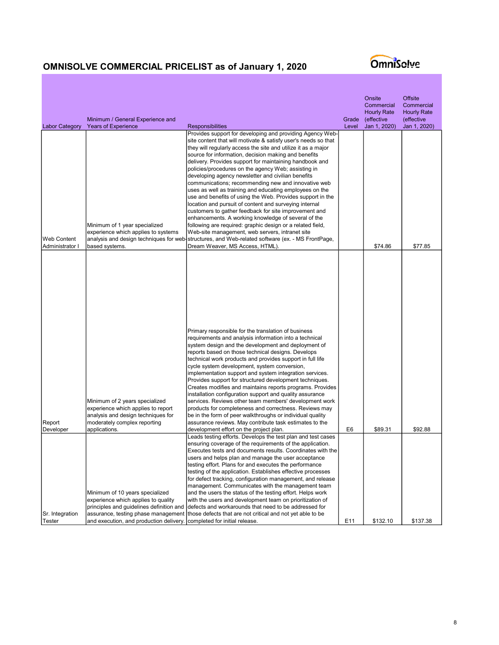| <b>Labor Category</b>          | Minimum / General Experience and<br><b>Years of Experience</b>                                                                                                                                       | <b>Responsibilities</b>                                                                                                                                                                                                                                                                                                                                                                                                                                                                                                                                                                                                                                                                                                                                                                                                                                                                                                                                                                                                                        | Grade<br>Level | Onsite<br>Commercial<br><b>Hourly Rate</b><br>(effective<br>Jan 1, 2020) | <b>Offsite</b><br>Commercial<br><b>Hourly Rate</b><br>(effective<br>Jan 1, 2020) |
|--------------------------------|------------------------------------------------------------------------------------------------------------------------------------------------------------------------------------------------------|------------------------------------------------------------------------------------------------------------------------------------------------------------------------------------------------------------------------------------------------------------------------------------------------------------------------------------------------------------------------------------------------------------------------------------------------------------------------------------------------------------------------------------------------------------------------------------------------------------------------------------------------------------------------------------------------------------------------------------------------------------------------------------------------------------------------------------------------------------------------------------------------------------------------------------------------------------------------------------------------------------------------------------------------|----------------|--------------------------------------------------------------------------|----------------------------------------------------------------------------------|
| Web Content<br>Administrator I | Minimum of 1 year specialized<br>experience which applies to systems<br>based systems.                                                                                                               | Provides support for developing and providing Agency Web-<br>site content that will motivate & satisfy user's needs so that<br>they will regularly access the site and utilize it as a major<br>source for information, decision making and benefits<br>delivery. Provides support for maintaining handbook and<br>policies/procedures on the agency Web; assisting in<br>developing agency newsletter and civilian benefits<br>communications; recommending new and innovative web<br>uses as well as training and educating employees on the<br>use and benefits of using the Web. Provides support in the<br>location and pursuit of content and surveying internal<br>customers to gather feedback for site improvement and<br>enhancements. A working knowledge of several of the<br>following are required: graphic design or a related field,<br>Web-site management, web servers, intranet site<br>analysis and design techniques for web structures, and Web-related software (ex. - MS FrontPage,<br>Dream Weaver, MS Access, HTML). |                | \$74.86                                                                  | \$77.85                                                                          |
| Report<br>Developer            | Minimum of 2 years specialized<br>experience which applies to report<br>analysis and design techniques for<br>moderately complex reporting<br>applications.                                          | Primary responsible for the translation of business<br>requirements and analysis information into a technical<br>system design and the development and deployment of<br>reports based on those technical designs. Develops<br>technical work products and provides support in full life<br>cycle system development, system conversion,<br>implementation support and system integration services.<br>Provides support for structured development techniques.<br>Creates modifies and maintains reports programs. Provides<br>installation configuration support and quality assurance<br>services. Reviews other team members' development work<br>products for completeness and correctness. Reviews may<br>be in the form of peer walkthroughs or individual quality<br>assurance reviews. May contribute task estimates to the<br>development effort on the project plan.                                                                                                                                                                  | E <sub>6</sub> | \$89.31                                                                  | \$92.88                                                                          |
| Sr. Integration<br>Tester      | Minimum of 10 years specialized<br>experience which applies to quality<br>principles and quidelines definition and<br>assurance, testing phase management<br>and execution, and production delivery. | Leads testing efforts. Develops the test plan and test cases<br>ensuring coverage of the requirements of the application.<br>Executes tests and documents results. Coordinates with the<br>users and helps plan and manage the user acceptance<br>testing effort. Plans for and executes the performance<br>testing of the application. Establishes effective processes<br>for defect tracking, configuration management, and release<br>management. Communicates with the management team<br>and the users the status of the testing effort. Helps work<br>with the users and development team on prioritization of<br>defects and workarounds that need to be addressed for<br>those defects that are not critical and not yet able to be<br>completed for initial release.                                                                                                                                                                                                                                                                  | E11            | \$132.10                                                                 | \$137.38                                                                         |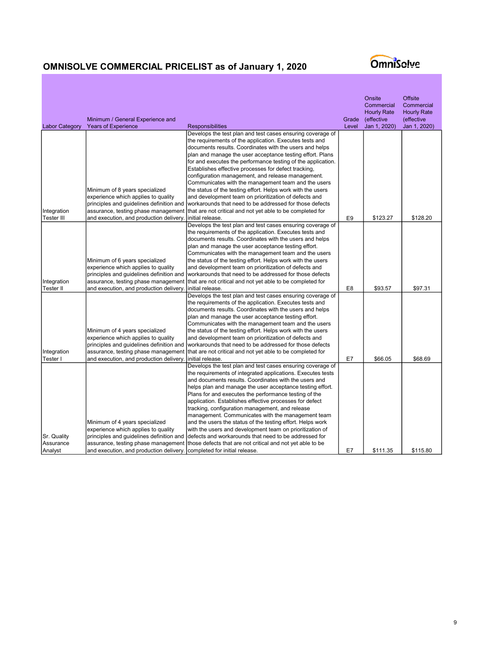| <b>Years of Experience</b><br><b>Labor Category</b><br>Develops the test plan and test cases ensuring coverage of<br>the requirements of the application. Executes tests and<br>documents results. Coordinates with the users and helps<br>plan and manage the user acceptance testing effort. Plans<br>for and executes the performance testing of the application.<br>Establishes effective processes for defect tracking,<br>configuration management, and release management.<br>Communicates with the management team and the users<br>Minimum of 8 years specialized<br>the status of the testing effort. Helps work with the users<br>experience which applies to quality<br>and development team on prioritization of defects and<br>principles and guidelines definition and<br>workarounds that need to be addressed for those defects<br>Integration<br>assurance, testing phase management<br>that are not critical and not yet able to be completed for<br>Tester III<br>\$123.27<br>\$128.20<br>and execution, and production delivery.<br>initial release.<br>E9<br>Develops the test plan and test cases ensuring coverage of<br>the requirements of the application. Executes tests and<br>documents results. Coordinates with the users and helps<br>plan and manage the user acceptance testing effort.<br>Communicates with the management team and the users<br>Minimum of 6 years specialized<br>the status of the testing effort. Helps work with the users<br>experience which applies to quality<br>and development team on prioritization of defects and<br>principles and guidelines definition and<br>workarounds that need to be addressed for those defects<br>Integration<br>assurance, testing phase management<br>that are not critical and not yet able to be completed for<br>\$93.57<br>\$97.31<br><b>Tester II</b><br>and execution, and production delivery.<br>initial release.<br>E <sub>8</sub><br>Develops the test plan and test cases ensuring coverage of<br>the requirements of the application. Executes tests and<br>documents results. Coordinates with the users and helps<br>plan and manage the user acceptance testing effort.<br>Communicates with the management team and the users<br>Minimum of 4 years specialized<br>the status of the testing effort. Helps work with the users |
|---------------------------------------------------------------------------------------------------------------------------------------------------------------------------------------------------------------------------------------------------------------------------------------------------------------------------------------------------------------------------------------------------------------------------------------------------------------------------------------------------------------------------------------------------------------------------------------------------------------------------------------------------------------------------------------------------------------------------------------------------------------------------------------------------------------------------------------------------------------------------------------------------------------------------------------------------------------------------------------------------------------------------------------------------------------------------------------------------------------------------------------------------------------------------------------------------------------------------------------------------------------------------------------------------------------------------------------------------------------------------------------------------------------------------------------------------------------------------------------------------------------------------------------------------------------------------------------------------------------------------------------------------------------------------------------------------------------------------------------------------------------------------------------------------------------------------------------------------------------------------------------------------------------------------------------------------------------------------------------------------------------------------------------------------------------------------------------------------------------------------------------------------------------------------------------------------------------------------------------------------------------------------------------------------------------------------------------------|
|                                                                                                                                                                                                                                                                                                                                                                                                                                                                                                                                                                                                                                                                                                                                                                                                                                                                                                                                                                                                                                                                                                                                                                                                                                                                                                                                                                                                                                                                                                                                                                                                                                                                                                                                                                                                                                                                                                                                                                                                                                                                                                                                                                                                                                                                                                                                             |
|                                                                                                                                                                                                                                                                                                                                                                                                                                                                                                                                                                                                                                                                                                                                                                                                                                                                                                                                                                                                                                                                                                                                                                                                                                                                                                                                                                                                                                                                                                                                                                                                                                                                                                                                                                                                                                                                                                                                                                                                                                                                                                                                                                                                                                                                                                                                             |
|                                                                                                                                                                                                                                                                                                                                                                                                                                                                                                                                                                                                                                                                                                                                                                                                                                                                                                                                                                                                                                                                                                                                                                                                                                                                                                                                                                                                                                                                                                                                                                                                                                                                                                                                                                                                                                                                                                                                                                                                                                                                                                                                                                                                                                                                                                                                             |
|                                                                                                                                                                                                                                                                                                                                                                                                                                                                                                                                                                                                                                                                                                                                                                                                                                                                                                                                                                                                                                                                                                                                                                                                                                                                                                                                                                                                                                                                                                                                                                                                                                                                                                                                                                                                                                                                                                                                                                                                                                                                                                                                                                                                                                                                                                                                             |
|                                                                                                                                                                                                                                                                                                                                                                                                                                                                                                                                                                                                                                                                                                                                                                                                                                                                                                                                                                                                                                                                                                                                                                                                                                                                                                                                                                                                                                                                                                                                                                                                                                                                                                                                                                                                                                                                                                                                                                                                                                                                                                                                                                                                                                                                                                                                             |
|                                                                                                                                                                                                                                                                                                                                                                                                                                                                                                                                                                                                                                                                                                                                                                                                                                                                                                                                                                                                                                                                                                                                                                                                                                                                                                                                                                                                                                                                                                                                                                                                                                                                                                                                                                                                                                                                                                                                                                                                                                                                                                                                                                                                                                                                                                                                             |
|                                                                                                                                                                                                                                                                                                                                                                                                                                                                                                                                                                                                                                                                                                                                                                                                                                                                                                                                                                                                                                                                                                                                                                                                                                                                                                                                                                                                                                                                                                                                                                                                                                                                                                                                                                                                                                                                                                                                                                                                                                                                                                                                                                                                                                                                                                                                             |
|                                                                                                                                                                                                                                                                                                                                                                                                                                                                                                                                                                                                                                                                                                                                                                                                                                                                                                                                                                                                                                                                                                                                                                                                                                                                                                                                                                                                                                                                                                                                                                                                                                                                                                                                                                                                                                                                                                                                                                                                                                                                                                                                                                                                                                                                                                                                             |
|                                                                                                                                                                                                                                                                                                                                                                                                                                                                                                                                                                                                                                                                                                                                                                                                                                                                                                                                                                                                                                                                                                                                                                                                                                                                                                                                                                                                                                                                                                                                                                                                                                                                                                                                                                                                                                                                                                                                                                                                                                                                                                                                                                                                                                                                                                                                             |
|                                                                                                                                                                                                                                                                                                                                                                                                                                                                                                                                                                                                                                                                                                                                                                                                                                                                                                                                                                                                                                                                                                                                                                                                                                                                                                                                                                                                                                                                                                                                                                                                                                                                                                                                                                                                                                                                                                                                                                                                                                                                                                                                                                                                                                                                                                                                             |
|                                                                                                                                                                                                                                                                                                                                                                                                                                                                                                                                                                                                                                                                                                                                                                                                                                                                                                                                                                                                                                                                                                                                                                                                                                                                                                                                                                                                                                                                                                                                                                                                                                                                                                                                                                                                                                                                                                                                                                                                                                                                                                                                                                                                                                                                                                                                             |
|                                                                                                                                                                                                                                                                                                                                                                                                                                                                                                                                                                                                                                                                                                                                                                                                                                                                                                                                                                                                                                                                                                                                                                                                                                                                                                                                                                                                                                                                                                                                                                                                                                                                                                                                                                                                                                                                                                                                                                                                                                                                                                                                                                                                                                                                                                                                             |
|                                                                                                                                                                                                                                                                                                                                                                                                                                                                                                                                                                                                                                                                                                                                                                                                                                                                                                                                                                                                                                                                                                                                                                                                                                                                                                                                                                                                                                                                                                                                                                                                                                                                                                                                                                                                                                                                                                                                                                                                                                                                                                                                                                                                                                                                                                                                             |
|                                                                                                                                                                                                                                                                                                                                                                                                                                                                                                                                                                                                                                                                                                                                                                                                                                                                                                                                                                                                                                                                                                                                                                                                                                                                                                                                                                                                                                                                                                                                                                                                                                                                                                                                                                                                                                                                                                                                                                                                                                                                                                                                                                                                                                                                                                                                             |
|                                                                                                                                                                                                                                                                                                                                                                                                                                                                                                                                                                                                                                                                                                                                                                                                                                                                                                                                                                                                                                                                                                                                                                                                                                                                                                                                                                                                                                                                                                                                                                                                                                                                                                                                                                                                                                                                                                                                                                                                                                                                                                                                                                                                                                                                                                                                             |
|                                                                                                                                                                                                                                                                                                                                                                                                                                                                                                                                                                                                                                                                                                                                                                                                                                                                                                                                                                                                                                                                                                                                                                                                                                                                                                                                                                                                                                                                                                                                                                                                                                                                                                                                                                                                                                                                                                                                                                                                                                                                                                                                                                                                                                                                                                                                             |
|                                                                                                                                                                                                                                                                                                                                                                                                                                                                                                                                                                                                                                                                                                                                                                                                                                                                                                                                                                                                                                                                                                                                                                                                                                                                                                                                                                                                                                                                                                                                                                                                                                                                                                                                                                                                                                                                                                                                                                                                                                                                                                                                                                                                                                                                                                                                             |
|                                                                                                                                                                                                                                                                                                                                                                                                                                                                                                                                                                                                                                                                                                                                                                                                                                                                                                                                                                                                                                                                                                                                                                                                                                                                                                                                                                                                                                                                                                                                                                                                                                                                                                                                                                                                                                                                                                                                                                                                                                                                                                                                                                                                                                                                                                                                             |
|                                                                                                                                                                                                                                                                                                                                                                                                                                                                                                                                                                                                                                                                                                                                                                                                                                                                                                                                                                                                                                                                                                                                                                                                                                                                                                                                                                                                                                                                                                                                                                                                                                                                                                                                                                                                                                                                                                                                                                                                                                                                                                                                                                                                                                                                                                                                             |
|                                                                                                                                                                                                                                                                                                                                                                                                                                                                                                                                                                                                                                                                                                                                                                                                                                                                                                                                                                                                                                                                                                                                                                                                                                                                                                                                                                                                                                                                                                                                                                                                                                                                                                                                                                                                                                                                                                                                                                                                                                                                                                                                                                                                                                                                                                                                             |
|                                                                                                                                                                                                                                                                                                                                                                                                                                                                                                                                                                                                                                                                                                                                                                                                                                                                                                                                                                                                                                                                                                                                                                                                                                                                                                                                                                                                                                                                                                                                                                                                                                                                                                                                                                                                                                                                                                                                                                                                                                                                                                                                                                                                                                                                                                                                             |
|                                                                                                                                                                                                                                                                                                                                                                                                                                                                                                                                                                                                                                                                                                                                                                                                                                                                                                                                                                                                                                                                                                                                                                                                                                                                                                                                                                                                                                                                                                                                                                                                                                                                                                                                                                                                                                                                                                                                                                                                                                                                                                                                                                                                                                                                                                                                             |
|                                                                                                                                                                                                                                                                                                                                                                                                                                                                                                                                                                                                                                                                                                                                                                                                                                                                                                                                                                                                                                                                                                                                                                                                                                                                                                                                                                                                                                                                                                                                                                                                                                                                                                                                                                                                                                                                                                                                                                                                                                                                                                                                                                                                                                                                                                                                             |
|                                                                                                                                                                                                                                                                                                                                                                                                                                                                                                                                                                                                                                                                                                                                                                                                                                                                                                                                                                                                                                                                                                                                                                                                                                                                                                                                                                                                                                                                                                                                                                                                                                                                                                                                                                                                                                                                                                                                                                                                                                                                                                                                                                                                                                                                                                                                             |
|                                                                                                                                                                                                                                                                                                                                                                                                                                                                                                                                                                                                                                                                                                                                                                                                                                                                                                                                                                                                                                                                                                                                                                                                                                                                                                                                                                                                                                                                                                                                                                                                                                                                                                                                                                                                                                                                                                                                                                                                                                                                                                                                                                                                                                                                                                                                             |
|                                                                                                                                                                                                                                                                                                                                                                                                                                                                                                                                                                                                                                                                                                                                                                                                                                                                                                                                                                                                                                                                                                                                                                                                                                                                                                                                                                                                                                                                                                                                                                                                                                                                                                                                                                                                                                                                                                                                                                                                                                                                                                                                                                                                                                                                                                                                             |
|                                                                                                                                                                                                                                                                                                                                                                                                                                                                                                                                                                                                                                                                                                                                                                                                                                                                                                                                                                                                                                                                                                                                                                                                                                                                                                                                                                                                                                                                                                                                                                                                                                                                                                                                                                                                                                                                                                                                                                                                                                                                                                                                                                                                                                                                                                                                             |
| experience which applies to quality<br>and development team on prioritization of defects and                                                                                                                                                                                                                                                                                                                                                                                                                                                                                                                                                                                                                                                                                                                                                                                                                                                                                                                                                                                                                                                                                                                                                                                                                                                                                                                                                                                                                                                                                                                                                                                                                                                                                                                                                                                                                                                                                                                                                                                                                                                                                                                                                                                                                                                |
| principles and guidelines definition and<br>workarounds that need to be addressed for those defects                                                                                                                                                                                                                                                                                                                                                                                                                                                                                                                                                                                                                                                                                                                                                                                                                                                                                                                                                                                                                                                                                                                                                                                                                                                                                                                                                                                                                                                                                                                                                                                                                                                                                                                                                                                                                                                                                                                                                                                                                                                                                                                                                                                                                                         |
| Integration<br>assurance, testing phase management<br>that are not critical and not yet able to be completed for                                                                                                                                                                                                                                                                                                                                                                                                                                                                                                                                                                                                                                                                                                                                                                                                                                                                                                                                                                                                                                                                                                                                                                                                                                                                                                                                                                                                                                                                                                                                                                                                                                                                                                                                                                                                                                                                                                                                                                                                                                                                                                                                                                                                                            |
| Tester I<br>E7<br>\$66.05<br>\$68.69<br>and execution, and production delivery.<br>initial release.                                                                                                                                                                                                                                                                                                                                                                                                                                                                                                                                                                                                                                                                                                                                                                                                                                                                                                                                                                                                                                                                                                                                                                                                                                                                                                                                                                                                                                                                                                                                                                                                                                                                                                                                                                                                                                                                                                                                                                                                                                                                                                                                                                                                                                         |
| Develops the test plan and test cases ensuring coverage of                                                                                                                                                                                                                                                                                                                                                                                                                                                                                                                                                                                                                                                                                                                                                                                                                                                                                                                                                                                                                                                                                                                                                                                                                                                                                                                                                                                                                                                                                                                                                                                                                                                                                                                                                                                                                                                                                                                                                                                                                                                                                                                                                                                                                                                                                  |
| the requirements of integrated applications. Executes tests                                                                                                                                                                                                                                                                                                                                                                                                                                                                                                                                                                                                                                                                                                                                                                                                                                                                                                                                                                                                                                                                                                                                                                                                                                                                                                                                                                                                                                                                                                                                                                                                                                                                                                                                                                                                                                                                                                                                                                                                                                                                                                                                                                                                                                                                                 |
| and documents results. Coordinates with the users and                                                                                                                                                                                                                                                                                                                                                                                                                                                                                                                                                                                                                                                                                                                                                                                                                                                                                                                                                                                                                                                                                                                                                                                                                                                                                                                                                                                                                                                                                                                                                                                                                                                                                                                                                                                                                                                                                                                                                                                                                                                                                                                                                                                                                                                                                       |
| helps plan and manage the user acceptance testing effort.                                                                                                                                                                                                                                                                                                                                                                                                                                                                                                                                                                                                                                                                                                                                                                                                                                                                                                                                                                                                                                                                                                                                                                                                                                                                                                                                                                                                                                                                                                                                                                                                                                                                                                                                                                                                                                                                                                                                                                                                                                                                                                                                                                                                                                                                                   |
| Plans for and executes the performance testing of the                                                                                                                                                                                                                                                                                                                                                                                                                                                                                                                                                                                                                                                                                                                                                                                                                                                                                                                                                                                                                                                                                                                                                                                                                                                                                                                                                                                                                                                                                                                                                                                                                                                                                                                                                                                                                                                                                                                                                                                                                                                                                                                                                                                                                                                                                       |
| application. Establishes effective processes for defect                                                                                                                                                                                                                                                                                                                                                                                                                                                                                                                                                                                                                                                                                                                                                                                                                                                                                                                                                                                                                                                                                                                                                                                                                                                                                                                                                                                                                                                                                                                                                                                                                                                                                                                                                                                                                                                                                                                                                                                                                                                                                                                                                                                                                                                                                     |
| tracking, configuration management, and release                                                                                                                                                                                                                                                                                                                                                                                                                                                                                                                                                                                                                                                                                                                                                                                                                                                                                                                                                                                                                                                                                                                                                                                                                                                                                                                                                                                                                                                                                                                                                                                                                                                                                                                                                                                                                                                                                                                                                                                                                                                                                                                                                                                                                                                                                             |
| management. Communicates with the management team                                                                                                                                                                                                                                                                                                                                                                                                                                                                                                                                                                                                                                                                                                                                                                                                                                                                                                                                                                                                                                                                                                                                                                                                                                                                                                                                                                                                                                                                                                                                                                                                                                                                                                                                                                                                                                                                                                                                                                                                                                                                                                                                                                                                                                                                                           |
| Minimum of 4 years specialized<br>and the users the status of the testing effort. Helps work                                                                                                                                                                                                                                                                                                                                                                                                                                                                                                                                                                                                                                                                                                                                                                                                                                                                                                                                                                                                                                                                                                                                                                                                                                                                                                                                                                                                                                                                                                                                                                                                                                                                                                                                                                                                                                                                                                                                                                                                                                                                                                                                                                                                                                                |
| experience which applies to quality<br>with the users and development team on prioritization of                                                                                                                                                                                                                                                                                                                                                                                                                                                                                                                                                                                                                                                                                                                                                                                                                                                                                                                                                                                                                                                                                                                                                                                                                                                                                                                                                                                                                                                                                                                                                                                                                                                                                                                                                                                                                                                                                                                                                                                                                                                                                                                                                                                                                                             |
| Sr. Quality<br>principles and guidelines definition and<br>defects and workarounds that need to be addressed for<br>Assurance<br>assurance, testing phase management   those defects that are not critical and not yet able to be                                                                                                                                                                                                                                                                                                                                                                                                                                                                                                                                                                                                                                                                                                                                                                                                                                                                                                                                                                                                                                                                                                                                                                                                                                                                                                                                                                                                                                                                                                                                                                                                                                                                                                                                                                                                                                                                                                                                                                                                                                                                                                           |
| Analyst<br>E7<br>\$111.35<br>\$115.80<br>and execution, and production delivery.<br>completed for initial release.                                                                                                                                                                                                                                                                                                                                                                                                                                                                                                                                                                                                                                                                                                                                                                                                                                                                                                                                                                                                                                                                                                                                                                                                                                                                                                                                                                                                                                                                                                                                                                                                                                                                                                                                                                                                                                                                                                                                                                                                                                                                                                                                                                                                                          |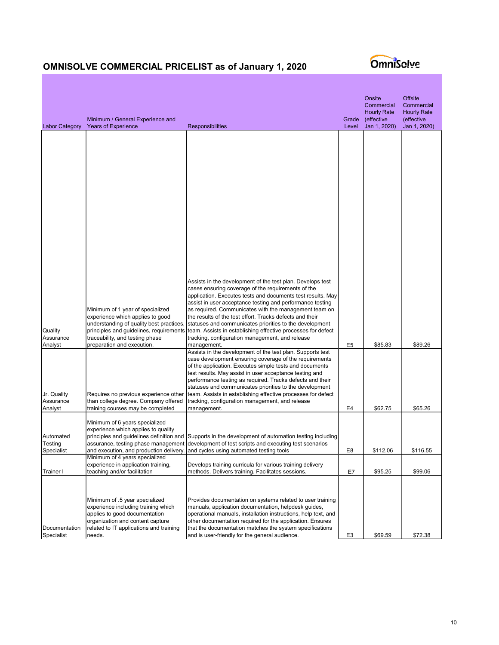

| <b>Labor Category</b>               | Minimum / General Experience and<br><b>Years of Experience</b>                                                                                                                                                               | <b>Responsibilities</b>                                                                                                                                                                                                                                                                                                                                                                                                                                                                              | Grade<br>Level | Onsite<br>Commercial<br><b>Hourly Rate</b><br>(effective<br>Jan 1, 2020) | <b>Offsite</b><br>Commercial<br><b>Hourly Rate</b><br>(effective<br>Jan 1, 2020) |
|-------------------------------------|------------------------------------------------------------------------------------------------------------------------------------------------------------------------------------------------------------------------------|------------------------------------------------------------------------------------------------------------------------------------------------------------------------------------------------------------------------------------------------------------------------------------------------------------------------------------------------------------------------------------------------------------------------------------------------------------------------------------------------------|----------------|--------------------------------------------------------------------------|----------------------------------------------------------------------------------|
|                                     |                                                                                                                                                                                                                              | Assists in the development of the test plan. Develops test<br>cases ensuring coverage of the requirements of the<br>application. Executes tests and documents test results. May                                                                                                                                                                                                                                                                                                                      |                |                                                                          |                                                                                  |
| Quality<br>Assurance<br>Analyst     | Minimum of 1 year of specialized<br>experience which applies to good<br>understanding of quality best practices,<br>principles and guidelines, requirements<br>traceability, and testing phase<br>preparation and execution. | assist in user acceptance testing and performance testing<br>as required. Communicates with the management team on<br>the results of the test effort. Tracks defects and their<br>statuses and communicates priorities to the development<br>team. Assists in establishing effective processes for defect<br>tracking, configuration management, and release<br>management.                                                                                                                          | E <sub>5</sub> | \$85.83                                                                  | \$89.26                                                                          |
| Jr. Quality<br>Assurance<br>Analyst | Requires no previous experience other<br>than college degree. Company offered<br>training courses may be completed                                                                                                           | Assists in the development of the test plan. Supports test<br>case development ensuring coverage of the requirements<br>of the application. Executes simple tests and documents<br>test results. May assist in user acceptance testing and<br>performance testing as required. Tracks defects and their<br>statuses and communicates priorities to the development<br>team. Assists in establishing effective processes for defect<br>tracking, configuration management, and release<br>management. | E4             | \$62.75                                                                  | \$65.26                                                                          |
| Automated<br>Testing<br>Specialist  | Minimum of 6 years specialized<br>experience which applies to quality<br>principles and guidelines definition and                                                                                                            | Supports in the development of automation testing including<br>assurance, testing phase management  development of test scripts and executing test scenarios<br>and execution, and production delivery. and cycles using automated testing tools                                                                                                                                                                                                                                                     | E8             | \$112.06                                                                 | \$116.55                                                                         |
| Trainer I                           | Minimum of 4 years specialized<br>experience in application training,<br>teaching and/or facilitation                                                                                                                        | Develops training curricula for various training delivery<br>methods. Delivers training. Facilitates sessions.                                                                                                                                                                                                                                                                                                                                                                                       | E7             | \$95.25                                                                  | \$99.06                                                                          |
| Documentation<br>Specialist         | Minimum of .5 year specialized<br>experience including training which<br>applies to good documentation<br>organization and content capture<br>related to IT applications and training<br>needs.                              | Provides documentation on systems related to user training<br>manuals, application documentation, helpdesk guides,<br>operational manuals, installation instructions, help text, and<br>other documentation required for the application. Ensures<br>that the documentation matches the system specifications<br>and is user-friendly for the general audience.                                                                                                                                      | E <sub>3</sub> | \$69.59                                                                  | \$72.38                                                                          |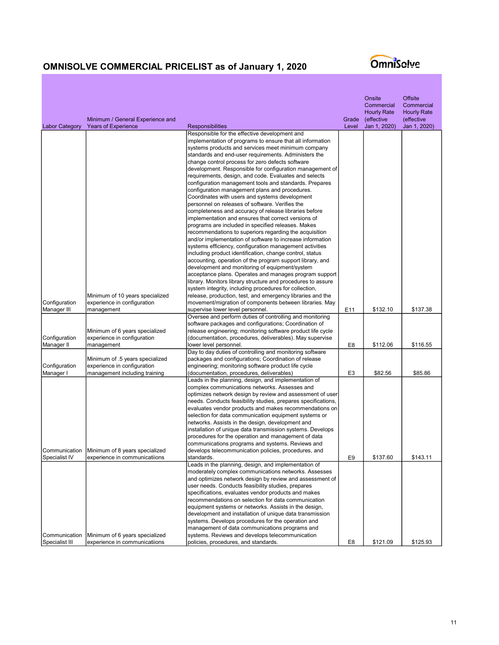|                       | Minimum / General Experience and                              |                                                                                                                         | Grade          | Onsite<br>Commercial<br><b>Hourly Rate</b><br>(effective | <b>Offsite</b><br>Commercial<br><b>Hourly Rate</b><br>(effective |
|-----------------------|---------------------------------------------------------------|-------------------------------------------------------------------------------------------------------------------------|----------------|----------------------------------------------------------|------------------------------------------------------------------|
| <b>Labor Category</b> | <b>Years of Experience</b>                                    | <b>Responsibilities</b>                                                                                                 | Level          | Jan 1, 2020)                                             | Jan 1, 2020)                                                     |
|                       |                                                               | Responsible for the effective development and                                                                           |                |                                                          |                                                                  |
|                       |                                                               | implementation of programs to ensure that all information                                                               |                |                                                          |                                                                  |
|                       |                                                               | systems products and services meet minimum company<br>standards and end-user requirements. Administers the              |                |                                                          |                                                                  |
|                       |                                                               | change control process for zero defects software                                                                        |                |                                                          |                                                                  |
|                       |                                                               | development. Responsible for configuration management of                                                                |                |                                                          |                                                                  |
|                       |                                                               | requirements, design, and code. Evaluates and selects                                                                   |                |                                                          |                                                                  |
|                       |                                                               | configuration management tools and standards. Prepares                                                                  |                |                                                          |                                                                  |
|                       |                                                               | configuration management plans and procedures.                                                                          |                |                                                          |                                                                  |
|                       |                                                               | Coordinates with users and systems development                                                                          |                |                                                          |                                                                  |
|                       |                                                               | personnel on releases of software. Verifies the                                                                         |                |                                                          |                                                                  |
|                       |                                                               | completeness and accuracy of release libraries before<br>implementation and ensures that correct versions of            |                |                                                          |                                                                  |
|                       |                                                               | programs are included in specified releases. Makes                                                                      |                |                                                          |                                                                  |
|                       |                                                               | recommendations to superiors regarding the acquisition                                                                  |                |                                                          |                                                                  |
|                       |                                                               | and/or implementation of software to increase information                                                               |                |                                                          |                                                                  |
|                       |                                                               | systems efficiency, configuration management activities                                                                 |                |                                                          |                                                                  |
|                       |                                                               | including product identification, change control, status                                                                |                |                                                          |                                                                  |
|                       |                                                               | accounting, operation of the program support library, and                                                               |                |                                                          |                                                                  |
|                       |                                                               | development and monitoring of equipment/system                                                                          |                |                                                          |                                                                  |
|                       |                                                               | acceptance plans. Operates and manages program support<br>library. Monitors library structure and procedures to assure  |                |                                                          |                                                                  |
|                       |                                                               | system integrity, including procedures for collection,                                                                  |                |                                                          |                                                                  |
|                       | Minimum of 10 years specialized                               | release, production, test, and emergency libraries and the                                                              |                |                                                          |                                                                  |
| Configuration         | experience in configuration                                   | movement/migration of components between libraries. May                                                                 |                |                                                          |                                                                  |
| Manager III           | management                                                    | supervise lower level personnel.                                                                                        | E11            | \$132.10                                                 | \$137.38                                                         |
|                       |                                                               | Oversee and perform duties of controlling and monitoring                                                                |                |                                                          |                                                                  |
|                       |                                                               | software packages and configurations; Coordination of                                                                   |                |                                                          |                                                                  |
| Configuration         | Minimum of 6 years specialized<br>experience in configuration | release engineering; monitoring software product life cycle<br>(documentation, procedures, deliverables). May supervise |                |                                                          |                                                                  |
| Manager II            | management                                                    | lower level personnel.                                                                                                  | E8             | \$112.06                                                 | \$116.55                                                         |
|                       |                                                               | Day to day duties of controlling and monitoring software                                                                |                |                                                          |                                                                  |
|                       | Minimum of .5 years specialized                               | packages and configurations; Coordination of release                                                                    |                |                                                          |                                                                  |
| Configuration         | experience in configuration                                   | engineering; monitoring software product life cycle                                                                     |                |                                                          |                                                                  |
| Manager I             | management including training                                 | (documentation, procedures, deliverables)                                                                               | E <sub>3</sub> | \$82.56                                                  | \$85.86                                                          |
|                       |                                                               | Leads in the planning, design, and implementation of<br>complex communications networks. Assesses and                   |                |                                                          |                                                                  |
|                       |                                                               | optimizes network design by review and assessment of user                                                               |                |                                                          |                                                                  |
|                       |                                                               | needs. Conducts feasibility studies, prepares specifications,                                                           |                |                                                          |                                                                  |
|                       |                                                               | evaluates vendor products and makes recommendations on                                                                  |                |                                                          |                                                                  |
|                       |                                                               | selection for data communication equipment systems or                                                                   |                |                                                          |                                                                  |
|                       |                                                               | networks. Assists in the design, development and                                                                        |                |                                                          |                                                                  |
|                       |                                                               | installation of unique data transmission systems. Develops                                                              |                |                                                          |                                                                  |
|                       |                                                               | procedures for the operation and management of data<br>communications programs and systems. Reviews and                 |                |                                                          |                                                                  |
| Communication         | Minimum of 8 years specialized                                | develops telecommunication policies, procedures, and                                                                    |                |                                                          |                                                                  |
| Specialist IV         | Iexperience in communicatiions                                | standards.                                                                                                              | E9             | \$137.60                                                 | \$143.11                                                         |
|                       |                                                               | Leads in the planning, design, and implementation of                                                                    |                |                                                          |                                                                  |
|                       |                                                               | moderately complex communications networks. Assesses                                                                    |                |                                                          |                                                                  |
|                       |                                                               | and optimizes network design by review and assessment of                                                                |                |                                                          |                                                                  |
|                       |                                                               | user needs. Conducts feasibility studies, prepares                                                                      |                |                                                          |                                                                  |
|                       |                                                               | specifications, evaluates vendor products and makes<br>recommendations on selection for data communication              |                |                                                          |                                                                  |
|                       |                                                               | equipment systems or networks. Assists in the design,                                                                   |                |                                                          |                                                                  |
|                       |                                                               | development and installation of unique data transmission                                                                |                |                                                          |                                                                  |
|                       |                                                               | systems. Develops procedures for the operation and                                                                      |                |                                                          |                                                                  |
|                       |                                                               | management of data communications programs and                                                                          |                |                                                          |                                                                  |
| Communication         | Minimum of 6 years specialized                                | systems. Reviews and develops telecommunication                                                                         |                |                                                          |                                                                  |
| Specialist III        | experience in communicatiions                                 | policies, procedures, and standards.                                                                                    | E8             | \$121.09                                                 | \$125.93                                                         |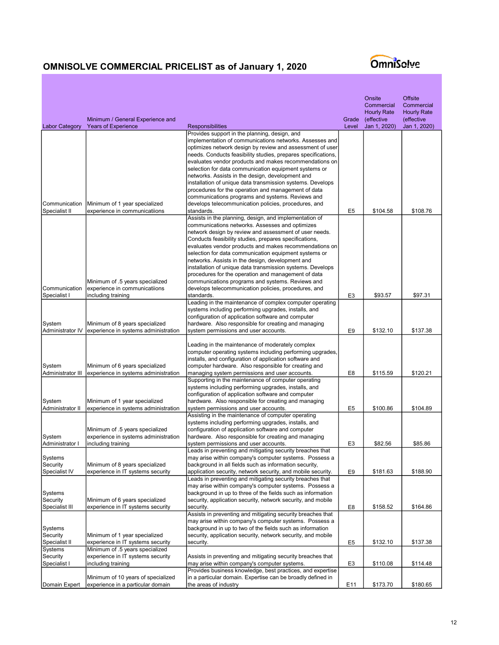|                            | Minimum / General Experience and                                        |                                                                                                                                                                                                                                  | Grade          | Onsite<br>Commercial<br><b>Hourly Rate</b><br>(effective | <b>Offsite</b><br>Commercial<br><b>Hourly Rate</b><br>(effective |
|----------------------------|-------------------------------------------------------------------------|----------------------------------------------------------------------------------------------------------------------------------------------------------------------------------------------------------------------------------|----------------|----------------------------------------------------------|------------------------------------------------------------------|
| <b>Labor Category</b>      | <b>Years of Experience</b>                                              | <b>Responsibilities</b><br>Provides support in the planning, design, and                                                                                                                                                         | Level          | Jan 1, 2020)                                             | Jan 1, 2020)                                                     |
|                            |                                                                         | implementation of communications networks. Assesses and<br>optimizes network design by review and assessment of user<br>needs. Conducts feasibility studies, prepares specifications,                                            |                |                                                          |                                                                  |
|                            |                                                                         | evaluates vendor products and makes recommendations on<br>selection for data communication equipment systems or                                                                                                                  |                |                                                          |                                                                  |
|                            |                                                                         | networks. Assists in the design, development and<br>installation of unique data transmission systems. Develops<br>procedures for the operation and management of data                                                            |                |                                                          |                                                                  |
| Communication              | Minimum of 1 year specialized                                           | communications programs and systems. Reviews and<br>develops telecommunication policies, procedures, and                                                                                                                         |                |                                                          |                                                                  |
| Specialist II              | experience in communicatiions                                           | standards.                                                                                                                                                                                                                       | E <sub>5</sub> | \$104.58                                                 | \$108.76                                                         |
|                            |                                                                         | Assists in the planning, design, and implementation of<br>communications networks. Assesses and optimizes                                                                                                                        |                |                                                          |                                                                  |
|                            |                                                                         | network design by review and assessment of user needs.                                                                                                                                                                           |                |                                                          |                                                                  |
|                            |                                                                         | Conducts feasibility studies, prepares specifications,                                                                                                                                                                           |                |                                                          |                                                                  |
|                            |                                                                         | evaluates vendor products and makes recommendations on<br>selection for data communication equipment systems or                                                                                                                  |                |                                                          |                                                                  |
|                            |                                                                         | networks. Assists in the design, development and                                                                                                                                                                                 |                |                                                          |                                                                  |
|                            |                                                                         | installation of unique data transmission systems. Develops                                                                                                                                                                       |                |                                                          |                                                                  |
|                            |                                                                         | procedures for the operation and management of data                                                                                                                                                                              |                |                                                          |                                                                  |
| Communication              | Minimum of .5 years specialized<br>experience in communicatiions        | communications programs and systems. Reviews and<br>develops telecommunication policies, procedures, and                                                                                                                         |                |                                                          |                                                                  |
| Specialist I               | including training                                                      | standards.                                                                                                                                                                                                                       | E <sub>3</sub> | \$93.57                                                  | \$97.31                                                          |
|                            |                                                                         | Leading in the maintenance of complex computer operating                                                                                                                                                                         |                |                                                          |                                                                  |
|                            |                                                                         | systems including performing upgrades, installs, and<br>configuration of application software and computer                                                                                                                       |                |                                                          |                                                                  |
| System                     | Minimum of 8 years specialized                                          | hardware. Also responsible for creating and managing                                                                                                                                                                             |                |                                                          |                                                                  |
| Administrator IV           | experience in systems administration                                    | system permissions and user accounts.                                                                                                                                                                                            | E9             | \$132.10                                                 | \$137.38                                                         |
| System                     | Minimum of 6 years specialized                                          | Leading in the maintenance of moderately complex<br>computer operating systems including performing upgrades,<br>installs, and configuration of application software and<br>computer hardware. Also responsible for creating and |                |                                                          |                                                                  |
| Administrator III          | experience in systems administration                                    | managing system permissions and user accounts.                                                                                                                                                                                   | E8             | \$115.59                                                 | \$120.21                                                         |
|                            |                                                                         | Supporting in the maintenance of computer operating<br>systems including performing upgrades, installs, and<br>configuration of application software and computer                                                                |                |                                                          |                                                                  |
| System<br>Administrator II | Minimum of 1 year specialized<br>experience in systems administration   | hardware. Also responsible for creating and managing<br>system permissions and user accounts.                                                                                                                                    | E5             | \$100.86                                                 | \$104.89                                                         |
|                            |                                                                         | Assisting in the maintenance of computer operating<br>systems including performing upgrades, installs, and                                                                                                                       |                |                                                          |                                                                  |
|                            | Minimum of .5 years specialized                                         | configuration of application software and computer                                                                                                                                                                               |                |                                                          |                                                                  |
| System                     | experience in systems administration                                    | hardware. Also responsible for creating and managing                                                                                                                                                                             |                |                                                          |                                                                  |
| Administrator I            | including training                                                      | system permissions and user accounts.<br>Leads in preventing and mitigating security breaches that                                                                                                                               | E3             | \$82.56                                                  | \$85.86                                                          |
| Systems                    |                                                                         | may arise within company's computer systems. Possess a                                                                                                                                                                           |                |                                                          |                                                                  |
| Security                   | Minimum of 8 years specialized                                          | background in all fields such as information security,                                                                                                                                                                           |                |                                                          |                                                                  |
| Specialist IV              | experience in IT systems security                                       | application security, network security, and mobile security.                                                                                                                                                                     | E9             | \$181.63                                                 | \$188.90                                                         |
|                            |                                                                         | Leads in preventing and mitigating security breaches that<br>may arise within company's computer systems. Possess a                                                                                                              |                |                                                          |                                                                  |
| Systems                    |                                                                         | background in up to three of the fields such as information                                                                                                                                                                      |                |                                                          |                                                                  |
| Security                   | Minimum of 6 years specialized                                          | security, application security, network security, and mobile                                                                                                                                                                     |                |                                                          |                                                                  |
| Specialist III             | experience in IT systems security                                       | security.                                                                                                                                                                                                                        | E8             | \$158.52                                                 | \$164.86                                                         |
|                            |                                                                         | Assists in preventing and mitigating security breaches that<br>may arise within company's computer systems. Possess a                                                                                                            |                |                                                          |                                                                  |
| Systems                    |                                                                         | background in up to two of the fields such as information                                                                                                                                                                        |                |                                                          |                                                                  |
| Security                   | Minimum of 1 year specialized                                           | security, application security, network security, and mobile                                                                                                                                                                     |                |                                                          |                                                                  |
| Specialist II<br>Systems   | experience in IT systems security<br>Minimum of .5 years specialized    | security.                                                                                                                                                                                                                        | E <sub>5</sub> | \$132.10                                                 | \$137.38                                                         |
| Security                   | experience in IT systems security                                       | Assists in preventing and mitigating security breaches that                                                                                                                                                                      |                |                                                          |                                                                  |
| Specialist I               | including training                                                      | may arise within company's computer systems.                                                                                                                                                                                     | E3             | \$110.08                                                 | \$114.48                                                         |
|                            |                                                                         | Provides business knowledge, best practices, and expertise                                                                                                                                                                       |                |                                                          |                                                                  |
| Domain Expert              | Minimum of 10 years of specialized<br>experience in a particular domain | in a particular domain. Expertise can be broadly defined in<br>the areas of industry                                                                                                                                             | E11            | \$173.70                                                 | \$180.65                                                         |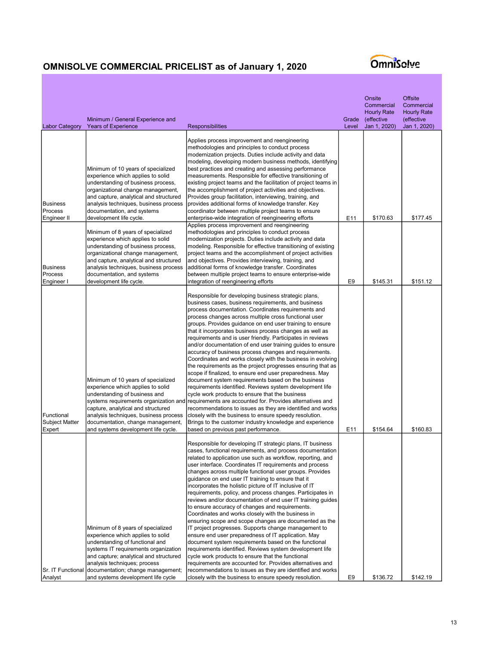| <b>Labor Category</b>                         | Minimum / General Experience and<br>Years of Experience                                                                                                                                                                                                                                                | <b>Responsibilities</b>                                                                                                                                                                                                                                                                                                                                                                                                                                                                                                                                                                                                                                                                                                                                                                                                                                                                                                                                                                                                                                                                                                                                                                                                                | Grade<br>Level | Onsite<br>Commercial<br><b>Hourly Rate</b><br>(effective<br>Jan 1, 2020) | <b>Offsite</b><br>Commercial<br><b>Hourly Rate</b><br>(effective<br>Jan 1, 2020) |
|-----------------------------------------------|--------------------------------------------------------------------------------------------------------------------------------------------------------------------------------------------------------------------------------------------------------------------------------------------------------|----------------------------------------------------------------------------------------------------------------------------------------------------------------------------------------------------------------------------------------------------------------------------------------------------------------------------------------------------------------------------------------------------------------------------------------------------------------------------------------------------------------------------------------------------------------------------------------------------------------------------------------------------------------------------------------------------------------------------------------------------------------------------------------------------------------------------------------------------------------------------------------------------------------------------------------------------------------------------------------------------------------------------------------------------------------------------------------------------------------------------------------------------------------------------------------------------------------------------------------|----------------|--------------------------------------------------------------------------|----------------------------------------------------------------------------------|
| <b>Business</b><br>Process<br>Engineer II     | Minimum of 10 years of specialized<br>experience which applies to solid<br>understanding of business process,<br>organizational change management,<br>and capture, analytical and structured<br>analysis techniques, business process<br>documentation, and systems<br>development life cycle.         | Applies process improvement and reengineering<br>methodologies and principles to conduct process<br>modernization projects. Duties include activity and data<br>modeling, developing modern business methods, identifying<br>best practices and creating and assessing performance<br>measurements. Responsible for effective transitioning of<br>existing project teams and the facilitation of project teams in<br>the accomplishment of project activities and objectives.<br>Provides group facilitation, interviewing, training, and<br>provides additional forms of knowledge transfer. Key<br>coordinator between multiple project teams to ensure<br>enterprise-wide integration of reengineering efforts                                                                                                                                                                                                                                                                                                                                                                                                                                                                                                                      | E11            | \$170.63                                                                 | \$177.45                                                                         |
| <b>Business</b><br>Process<br>Engineer I      | Minimum of 8 years of specialized<br>experience which applies to solid<br>understanding of business process,<br>organizational change management,<br>and capture, analytical and structured<br>analysis techniques, business process<br>documentation, and systems<br>development life cycle.          | Applies process improvement and reengineering<br>methodologies and principles to conduct process<br>modernization projects. Duties include activity and data<br>modeling. Responsible for effective transitioning of existing<br>project teams and the accomplishment of project activities<br>and objectives. Provides interviewing, training, and<br>additional forms of knowledge transfer. Coordinates<br>between multiple project teams to ensure enterprise-wide<br>integration of reengineering efforts                                                                                                                                                                                                                                                                                                                                                                                                                                                                                                                                                                                                                                                                                                                         | E9             | \$145.31                                                                 | \$151.12                                                                         |
| Functional<br><b>Subject Matter</b><br>Expert | Minimum of 10 years of specialized<br>experience which applies to solid<br>understanding of business and<br>capture, analytical and structured<br>analysis techniques, business process<br>documentation, change management,<br>and systems development life cycle.                                    | Responsible for developing business strategic plans,<br>business cases, business requirements, and business<br>process documentation. Coordinates requirements and<br>process changes across multiple cross functional user<br>groups. Provides guidance on end user training to ensure<br>that it incorporates business process changes as well as<br>requirements and is user friendly. Participates in reviews<br>and/or documentation of end user training guides to ensure<br>accuracy of business process changes and requirements.<br>Coordinates and works closely with the business in evolving<br>the requirements as the project progresses ensuring that as<br>scope if finalized, to ensure end user preparedness. May<br>document system requirements based on the business<br>requirements identified. Reviews system development life<br>cycle work products to ensure that the business<br>systems requirements organization and requirements are accounted for. Provides alternatives and<br>recommendations to issues as they are identified and works<br>closely with the business to ensure speedy resolution.<br>Brings to the customer industry knowledge and experience<br>based on previous past performance. | E11            | \$154.64                                                                 | \$160.83                                                                         |
| Sr. IT Functional<br>Analyst                  | Minimum of 8 years of specialized<br>experience which applies to solid<br>understanding of functional and<br>systems IT requirements organization<br>and capture; analytical and structured<br>analysis techniques; process<br>documentation; change management;<br>and systems development life cycle | Responsible for developing IT strategic plans, IT business<br>cases, functional requirements, and process documentation<br>related to application use such as workflow, reporting, and<br>user interface. Coordinates IT requirements and process<br>changes across multiple functional user groups. Provides<br>guidance on end user IT training to ensure that it<br>incorporates the holistic picture of IT inclusive of IT<br>requirements, policy, and process changes. Participates in<br>reviews and/or documentation of end user IT training guides<br>to ensure accuracy of changes and requirements.<br>Coordinates and works closely with the business in<br>ensuring scope and scope changes are documented as the<br>IT project progresses. Supports change management to<br>ensure end user preparedness of IT application. May<br>document system requirements based on the functional<br>requirements identified. Reviews system development life<br>cycle work products to ensure that the functional<br>requirements are accounted for. Provides alternatives and<br>recommendations to issues as they are identified and works<br>closely with the business to ensure speedy resolution.                            | E9             | \$136.72                                                                 | \$142.19                                                                         |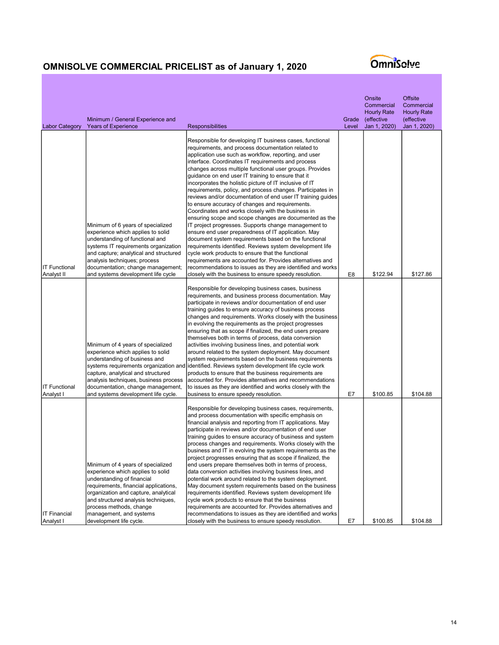| <b>Labor Category</b>              | Minimum / General Experience and<br><b>Years of Experience</b>                                                                                                                                                                                                                                                | <b>Responsibilities</b>                                                                                                                                                                                                                                                                                                                                                                                                                                                                                                                                                                                                                                                                                                                                                                                                                                                                                                                                                                                                                                                                                                                                                                 | Grade<br>Level | Onsite<br>Commercial<br><b>Hourly Rate</b><br>(effective<br>Jan 1, 2020) | <b>Offsite</b><br>Commercial<br><b>Hourly Rate</b><br>effective)<br>Jan 1, 2020) |
|------------------------------------|---------------------------------------------------------------------------------------------------------------------------------------------------------------------------------------------------------------------------------------------------------------------------------------------------------------|-----------------------------------------------------------------------------------------------------------------------------------------------------------------------------------------------------------------------------------------------------------------------------------------------------------------------------------------------------------------------------------------------------------------------------------------------------------------------------------------------------------------------------------------------------------------------------------------------------------------------------------------------------------------------------------------------------------------------------------------------------------------------------------------------------------------------------------------------------------------------------------------------------------------------------------------------------------------------------------------------------------------------------------------------------------------------------------------------------------------------------------------------------------------------------------------|----------------|--------------------------------------------------------------------------|----------------------------------------------------------------------------------|
| <b>IT Functional</b><br>Analyst II | Minimum of 6 years of specialized<br>experience which applies to solid<br>understanding of functional and<br>systems IT requirements organization<br>and capture; analytical and structured<br>analysis techniques; process<br>documentation; change management;<br>and systems development life cycle        | Responsible for developing IT business cases, functional<br>requirements, and process documentation related to<br>application use such as workflow, reporting, and user<br>interface. Coordinates IT requirements and process<br>changes across multiple functional user groups. Provides<br>quidance on end user IT training to ensure that it<br>incorporates the holistic picture of IT inclusive of IT<br>requirements, policy, and process changes. Participates in<br>reviews and/or documentation of end user IT training guides<br>to ensure accuracy of changes and requirements.<br>Coordinates and works closely with the business in<br>ensuring scope and scope changes are documented as the<br>IT project progresses. Supports change management to<br>ensure end user preparedness of IT application. May<br>document system requirements based on the functional<br>requirements identified. Reviews system development life<br>cycle work products to ensure that the functional<br>requirements are accounted for. Provides alternatives and<br>recommendations to issues as they are identified and works<br>closely with the business to ensure speedy resolution. | E8             | \$122.94                                                                 | \$127.86                                                                         |
| <b>IT Functional</b><br>Analyst I  | Minimum of 4 years of specialized<br>experience which applies to solid<br>understanding of business and<br>capture, analytical and structured<br>analysis techniques, business process<br>documentation, change management,<br>and systems development life cycle.                                            | Responsible for developing business cases, business<br>requirements, and business process documentation. May<br>participate in reviews and/or documentation of end user<br>training guides to ensure accuracy of business process<br>changes and requirements. Works closely with the business<br>in evolving the requirements as the project progresses<br>ensuring that as scope if finalized, the end users prepare<br>themselves both in terms of process, data conversion<br>activities involving business lines, and potential work<br>around related to the system deployment. May document<br>system requirements based on the business requirements<br>systems requirements organization and identified. Reviews system development life cycle work<br>products to ensure that the business requirements are<br>accounted for. Provides alternatives and recommendations<br>to issues as they are identified and works closely with the<br>business to ensure speedy resolution.                                                                                                                                                                                               | E7             | \$100.85                                                                 | \$104.88                                                                         |
| <b>IT Financial</b><br>Analyst I   | Minimum of 4 years of specialized<br>experience which applies to solid<br>understanding of financial<br>requirements, financial applications,<br>organization and capture, analytical<br>and structured analysis techniques,<br>process methods, change<br>management, and systems<br>development life cycle. | Responsible for developing business cases, requirements,<br>and process documentation with specific emphasis on<br>financial analysis and reporting from IT applications. May<br>participate in reviews and/or documentation of end user<br>training guides to ensure accuracy of business and system<br>process changes and requirements. Works closely with the<br>business and IT in evolving the system requirements as the<br>project progresses ensuring that as scope if finalized, the<br>end users prepare themselves both in terms of process,<br>data conversion activities involving business lines, and<br>potential work around related to the system deployment.<br>May document system requirements based on the business<br>requirements identified. Reviews system development life<br>cycle work products to ensure that the business<br>requirements are accounted for. Provides alternatives and<br>recommendations to issues as they are identified and works<br>closely with the business to ensure speedy resolution.                                                                                                                                           | E7             | \$100.85                                                                 | \$104.88                                                                         |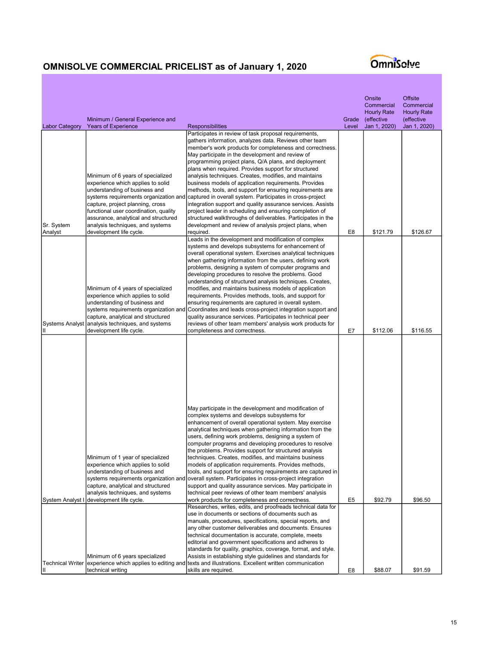|                                                | Minimum / General Experience and                                                                                                                                                                                                                                                                                                                                   |                                                                                                                                                                                                                                                                                                                                                                                                                                                                                                                                                                                                                                                                                                                                                                                                                                                                                                     | Grade       | Onsite<br>Commercial<br><b>Hourly Rate</b><br>(effective | <b>Offsite</b><br>Commercial<br><b>Hourly Rate</b><br>(effective |
|------------------------------------------------|--------------------------------------------------------------------------------------------------------------------------------------------------------------------------------------------------------------------------------------------------------------------------------------------------------------------------------------------------------------------|-----------------------------------------------------------------------------------------------------------------------------------------------------------------------------------------------------------------------------------------------------------------------------------------------------------------------------------------------------------------------------------------------------------------------------------------------------------------------------------------------------------------------------------------------------------------------------------------------------------------------------------------------------------------------------------------------------------------------------------------------------------------------------------------------------------------------------------------------------------------------------------------------------|-------------|----------------------------------------------------------|------------------------------------------------------------------|
| <b>Labor Category</b><br>Sr. System<br>Analyst | <b>Years of Experience</b><br>Minimum of 6 years of specialized<br>experience which applies to solid<br>understanding of business and<br>systems requirements organization and<br>capture, project planning, cross<br>functional user coordination, quality<br>assurance, analytical and structured<br>analysis techniques, and systems<br>development life cycle. | <b>Responsibilities</b><br>Participates in review of task proposal requirements,<br>gathers information, analyzes data. Reviews other team<br>member's work products for completeness and correctness.<br>May participate in the development and review of<br>programming project plans, Q/A plans, and deployment<br>plans when required. Provides support for structured<br>analysis techniques. Creates, modifies, and maintains<br>business models of application requirements. Provides<br>methods, tools, and support for ensuring requirements are<br>captured in overall system. Participates in cross-project<br>integration support and quality assurance services. Assists<br>project leader in scheduling and ensuring completion of<br>structured walkthroughs of deliverables. Participates in the<br>development and review of analysis project plans, when<br>required.             | Level<br>E8 | Jan 1, 2020)<br>\$121.79                                 | Jan 1, 2020)<br>\$126.67                                         |
| <b>Systems Analyst</b>                         | Minimum of 4 years of specialized<br>experience which applies to solid<br>understanding of business and<br>systems requirements organization and<br>capture, analytical and structured<br>analysis techniques, and systems<br>development life cycle.                                                                                                              | Leads in the development and modification of complex<br>systems and develops subsystems for enhancement of<br>overall operational system. Exercises analytical techniques<br>when gathering information from the users, defining work<br>problems, designing a system of computer programs and<br>developing procedures to resolve the problems. Good<br>understanding of structured analysis techniques. Creates,<br>modifies, and maintains business models of application<br>requirements. Provides methods, tools, and support for<br>ensuring requirements are captured in overall system.<br>Coordinates and leads cross-project integration support and<br>quality assurance services. Participates in technical peer<br>reviews of other team members' analysis work products for<br>completeness and correctness.                                                                          | E7          | \$112.06                                                 | \$116.55                                                         |
| System Analyst I                               | Minimum of 1 year of specialized<br>experience which applies to solid<br>understanding of business and<br>systems requirements organization and<br>capture, analytical and structured<br>analysis techniques, and systems<br>development life cycle.                                                                                                               | May participate in the development and modification of<br>complex systems and develops subsystems for<br>enhancement of overall operational system. May exercise<br>analytical techniques when gathering information from the<br>users, defining work problems, designing a system of<br>computer programs and developing procedures to resolve<br>the problems. Provides support for structured analysis<br>techniques. Creates, modifies, and maintains business<br>models of application requirements. Provides methods,<br>tools, and support for ensuring requirements are captured in<br>overall system. Participates in cross-project integration<br>support and quality assurance services. May participate in<br>technical peer reviews of other team members' analysis<br>work products for completeness and correctness.<br>Researches, writes, edits, and proofreads technical data for | E5          | \$92.79                                                  | \$96.50                                                          |
| Technical Writer<br>וון                        | Minimum of 6 years specialized<br>technical writing                                                                                                                                                                                                                                                                                                                | use in documents or sections of documents such as<br>manuals, procedures, specifications, special reports, and<br>any other customer deliverables and documents. Ensures<br>technical documentation is accurate, complete, meets<br>editorial and government specifications and adheres to<br>standards for quality, graphics, coverage, format, and style.<br>Assists in establishing style guidelines and standards for<br>experience which applies to editing and texts and illustrations. Excellent written communication<br>skills are required.                                                                                                                                                                                                                                                                                                                                               | E8          | \$88.07                                                  | \$91.59                                                          |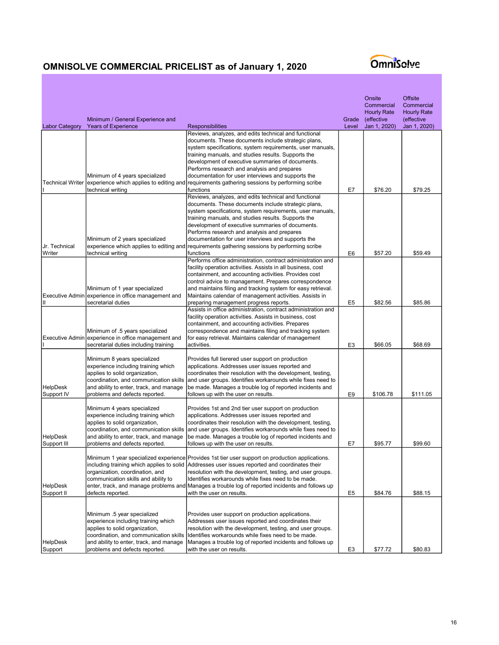|                                |                                                                                                                                                                                                                             |                                                                                                                                                                                                                                                                                                                                                                                                                                                                                                        |                | Onsite<br>Commercial<br><b>Hourly Rate</b> | <b>Offsite</b><br>Commercial<br><b>Hourly Rate</b> |
|--------------------------------|-----------------------------------------------------------------------------------------------------------------------------------------------------------------------------------------------------------------------------|--------------------------------------------------------------------------------------------------------------------------------------------------------------------------------------------------------------------------------------------------------------------------------------------------------------------------------------------------------------------------------------------------------------------------------------------------------------------------------------------------------|----------------|--------------------------------------------|----------------------------------------------------|
|                                | Minimum / General Experience and                                                                                                                                                                                            |                                                                                                                                                                                                                                                                                                                                                                                                                                                                                                        | Grade          | (effective                                 | (effective                                         |
| <b>Labor Category</b>          | <b>Years of Experience</b>                                                                                                                                                                                                  | <b>Responsibilities</b><br>Reviews, analyzes, and edits technical and functional<br>documents. These documents include strategic plans,<br>system specifications, system requirements, user manuals,<br>training manuals, and studies results. Supports the<br>development of executive summaries of documents.                                                                                                                                                                                        | Level          | Jan 1, 2020)                               | Jan 1, 2020)                                       |
| <b>Technical Writer</b>        | Minimum of 4 years specialized<br>technical writing                                                                                                                                                                         | Performs research and analysis and prepares<br>documentation for user interviews and supports the<br>experience which applies to editing and requirements gathering sessions by performing scribe<br>functions                                                                                                                                                                                                                                                                                         | E7             | \$76.20                                    | \$79.25                                            |
| Jr. Technical<br>Writer        | Minimum of 2 years specialized<br>technical writing                                                                                                                                                                         | Reviews, analyzes, and edits technical and functional<br>documents. These documents include strategic plans,<br>system specifications, system requirements, user manuals,<br>training manuals, and studies results. Supports the<br>development of executive summaries of documents.<br>Performs research and analysis and prepares<br>documentation for user interviews and supports the<br>experience which applies to editing and requirements gathering sessions by performing scribe<br>functions | E <sub>6</sub> | \$57.20                                    | \$59.49                                            |
| Executive Admin<br>Ш           | Minimum of 1 year specialized<br>experience in office management and<br>secretarial duties                                                                                                                                  | Performs office administration, contract administration and<br>facility operation activities. Assists in all business, cost<br>containment, and accounting activities. Provides cost<br>control advice to management. Prepares correspondence<br>and maintains filing and tracking system for easy retrieval.<br>Maintains calendar of management activities. Assists in<br>preparing management progress reports.                                                                                     | E <sub>5</sub> | \$82.56                                    | \$85.86                                            |
|                                | Minimum of .5 years specialized<br>Executive Admin experience in office management and<br>secretarial duties including training                                                                                             | Assists in office administration, contract administration and<br>facility operation activities. Assists in business, cost<br>containment, and accounting activities. Prepares<br>correspondence and maintains filing and tracking system<br>for easy retrieval. Maintains calendar of management<br>activities.                                                                                                                                                                                        | E <sub>3</sub> | \$66.05                                    | \$68.69                                            |
| <b>HelpDesk</b><br>Support IV  | Minimum 8 years specialized<br>experience including training which<br>applies to solid organization,<br>coordination, and communication skills<br>and ability to enter, track, and manage<br>problems and defects reported. | Provides full tierered user support on production<br>applications. Addresses user issues reported and<br>coordinates their resolution with the development, testing,<br>and user groups. Identifies workarounds while fixes need to<br>be made. Manages a trouble log of reported incidents and<br>follows up with the user on results.                                                                                                                                                                | E9             | \$106.78                                   | \$111.05                                           |
| <b>HelpDesk</b><br>Support III | Minimum 4 years specialized<br>experience including training which<br>applies to solid organization,<br>coordination, and communication skills<br>and ability to enter, track, and manage<br>problems and defects reported. | Provides 1st and 2nd tier user support on production<br>applications. Addresses user issues reported and<br>coordinates their resolution with the development, testing,<br>and user groups. Identifies workarounds while fixes need to<br>be made. Manages a trouble log of reported incidents and<br>follows up with the user on results.                                                                                                                                                             | E7             | \$95.77                                    | \$99.60                                            |
| HelpDesk<br>Support II         | organization, coordination, and<br>communication skills and ability to<br>defects reported.                                                                                                                                 | Minimum 1 year specialized experience Provides 1st tier user support on production applications.<br>including training which applies to solid  Addresses user issues reported and coordinates their<br>resolution with the development, testing, and user groups.<br>Identifies workarounds while fixes need to be made.<br>enter, track, and manage problems and Manages a trouble log of reported incidents and follows up<br>with the user on results.                                              | E <sub>5</sub> | \$84.76                                    | \$88.15                                            |
| <b>HelpDesk</b><br>Support     | Minimum .5 year specialized<br>experience including training which<br>applies to solid organization,<br>coordination, and communication skills<br>and ability to enter, track, and manage<br>problems and defects reported. | Provides user support on production applications.<br>Addresses user issues reported and coordinates their<br>resolution with the development, testing, and user groups.<br>Identifies workarounds while fixes need to be made.<br>Manages a trouble log of reported incidents and follows up<br>with the user on results.                                                                                                                                                                              | E <sub>3</sub> | \$77.72                                    | \$80.83                                            |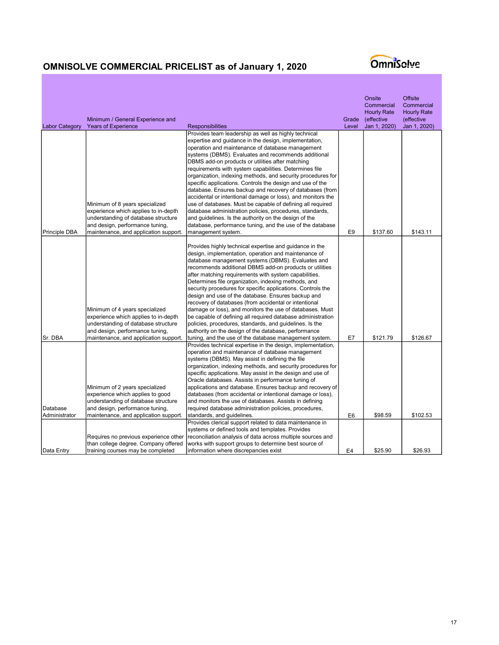| <b>Labor Category</b>     | Minimum / General Experience and<br><b>Years of Experience</b> | <b>Responsibilities</b>                                                                                                 | Grade<br>Level | Onsite<br>Commercial<br><b>Hourly Rate</b><br>(effective<br>Jan 1, 2020) | <b>Offsite</b><br>Commercial<br><b>Hourly Rate</b><br>(effective<br>Jan 1, 2020) |
|---------------------------|----------------------------------------------------------------|-------------------------------------------------------------------------------------------------------------------------|----------------|--------------------------------------------------------------------------|----------------------------------------------------------------------------------|
|                           |                                                                | Provides team leadership as well as highly technical                                                                    |                |                                                                          |                                                                                  |
|                           |                                                                | expertise and guidance in the design, implementation,<br>operation and maintenance of database management               |                |                                                                          |                                                                                  |
|                           |                                                                | systems (DBMS). Evaluates and recommends additional                                                                     |                |                                                                          |                                                                                  |
|                           |                                                                | DBMS add-on products or utilities after matching                                                                        |                |                                                                          |                                                                                  |
|                           |                                                                | requirements with system capabilities. Determines file                                                                  |                |                                                                          |                                                                                  |
|                           |                                                                | organization, indexing methods, and security procedures for                                                             |                |                                                                          |                                                                                  |
|                           |                                                                | specific applications. Controls the design and use of the                                                               |                |                                                                          |                                                                                  |
|                           |                                                                | database. Ensures backup and recovery of databases (from<br>accidental or intentional damage or loss), and monitors the |                |                                                                          |                                                                                  |
|                           | Minimum of 8 years specialized                                 | use of databases. Must be capable of defining all required                                                              |                |                                                                          |                                                                                  |
|                           | experience which applies to in-depth                           | database administration policies, procedures, standards,                                                                |                |                                                                          |                                                                                  |
|                           | understanding of database structure                            | and guidelines. Is the authority on the design of the                                                                   |                |                                                                          |                                                                                  |
|                           | and design, performance tuning,                                | database, performance tuning, and the use of the database                                                               |                |                                                                          |                                                                                  |
| Principle DBA             | maintenance, and application support.                          | management system.                                                                                                      | E <sub>9</sub> | \$137.60                                                                 | \$143.11                                                                         |
|                           |                                                                | Provides highly technical expertise and guidance in the                                                                 |                |                                                                          |                                                                                  |
|                           |                                                                | design, implementation, operation and maintenance of                                                                    |                |                                                                          |                                                                                  |
|                           |                                                                | database management systems (DBMS). Evaluates and                                                                       |                |                                                                          |                                                                                  |
|                           |                                                                | recommends additional DBMS add-on products or utilities                                                                 |                |                                                                          |                                                                                  |
|                           |                                                                | after matching requirements with system capabilities.                                                                   |                |                                                                          |                                                                                  |
|                           |                                                                | Determines file organization, indexing methods, and                                                                     |                |                                                                          |                                                                                  |
|                           |                                                                | security procedures for specific applications. Controls the                                                             |                |                                                                          |                                                                                  |
|                           |                                                                | design and use of the database. Ensures backup and<br>recovery of databases (from accidental or intentional             |                |                                                                          |                                                                                  |
|                           | Minimum of 4 years specialized                                 | damage or loss), and monitors the use of databases. Must                                                                |                |                                                                          |                                                                                  |
|                           | experience which applies to in-depth                           | be capable of defining all required database administration                                                             |                |                                                                          |                                                                                  |
|                           | understanding of database structure                            | policies, procedures, standards, and guidelines. Is the                                                                 |                |                                                                          |                                                                                  |
|                           | and design, performance tuning,                                | authority on the design of the database, performance                                                                    |                |                                                                          |                                                                                  |
| Sr. DBA                   | maintenance, and application support.                          | tuning, and the use of the database management system.                                                                  | E7             | \$121.79                                                                 | \$126.67                                                                         |
|                           |                                                                | Provides technical expertise in the design, implementation,                                                             |                |                                                                          |                                                                                  |
|                           |                                                                | operation and maintenance of database management<br>systems (DBMS). May assist in defining the file                     |                |                                                                          |                                                                                  |
|                           |                                                                | organization, indexing methods, and security procedures for                                                             |                |                                                                          |                                                                                  |
|                           |                                                                | specific applications. May assist in the design and use of                                                              |                |                                                                          |                                                                                  |
|                           |                                                                | Oracle databases. Assists in performance tuning of                                                                      |                |                                                                          |                                                                                  |
|                           | Minimum of 2 years specialized                                 | applications and database. Ensures backup and recovery of                                                               |                |                                                                          |                                                                                  |
|                           | experience which applies to good                               | databases (from accidental or intentional damage or loss),                                                              |                |                                                                          |                                                                                  |
|                           | understanding of database structure                            | and monitors the use of databases. Assists in defining                                                                  |                |                                                                          |                                                                                  |
| Database<br>Administrator | and design, performance tuning,                                | required database administration policies, procedures,                                                                  | E <sub>6</sub> | \$98.59                                                                  |                                                                                  |
|                           | maintenance, and application support.                          | standards, and guidelines.<br>Provides clerical support related to data maintenance in                                  |                |                                                                          | \$102.53                                                                         |
|                           |                                                                | systems or defined tools and templates. Provides                                                                        |                |                                                                          |                                                                                  |
|                           | Requires no previous experience other                          | reconciliation analysis of data across multiple sources and                                                             |                |                                                                          |                                                                                  |
|                           | than college degree. Company offered                           | works with support groups to determine best source of                                                                   |                |                                                                          |                                                                                  |
| Data Entry                | training courses may be completed                              | information where discrepancies exist                                                                                   | E4             | \$25.90                                                                  | \$26.93                                                                          |